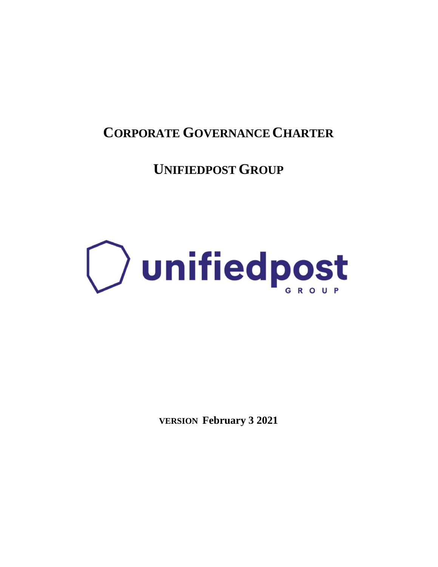### **CORPORATE GOVERNANCE CHARTER**

**UNIFIEDPOST GROUP**

# **D** unifiedpost

**VERSION February 3 2021**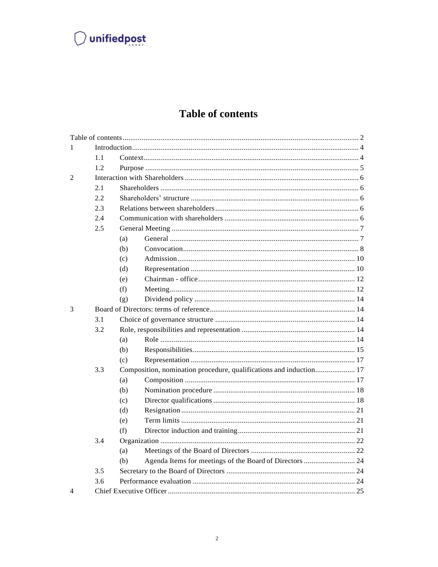### $\bigcirc$  unifiedpost

### **Table of contents**

<span id="page-1-0"></span>

| 1                        |     |                                                                    |                                                         |  |  |  |
|--------------------------|-----|--------------------------------------------------------------------|---------------------------------------------------------|--|--|--|
|                          | 1.1 |                                                                    |                                                         |  |  |  |
|                          | 1.2 |                                                                    |                                                         |  |  |  |
| $\overline{2}$           |     |                                                                    |                                                         |  |  |  |
|                          | 2.1 |                                                                    |                                                         |  |  |  |
|                          | 2.2 |                                                                    |                                                         |  |  |  |
|                          | 2.3 |                                                                    |                                                         |  |  |  |
|                          | 2.4 |                                                                    |                                                         |  |  |  |
|                          | 2.5 |                                                                    |                                                         |  |  |  |
|                          |     | (a)                                                                |                                                         |  |  |  |
|                          |     | (b)                                                                |                                                         |  |  |  |
|                          |     | (c)                                                                |                                                         |  |  |  |
|                          |     | (d)                                                                |                                                         |  |  |  |
|                          |     | (e)                                                                |                                                         |  |  |  |
|                          |     | (f)                                                                |                                                         |  |  |  |
|                          |     | (g)                                                                |                                                         |  |  |  |
| 3                        |     |                                                                    |                                                         |  |  |  |
|                          | 3.1 |                                                                    |                                                         |  |  |  |
|                          | 3.2 |                                                                    |                                                         |  |  |  |
|                          |     | (a)                                                                |                                                         |  |  |  |
|                          |     | (b)                                                                |                                                         |  |  |  |
|                          |     | (c)                                                                |                                                         |  |  |  |
|                          | 3.3 | Composition, nomination procedure, qualifications and induction 17 |                                                         |  |  |  |
|                          |     | (a)                                                                |                                                         |  |  |  |
|                          |     | (b)                                                                |                                                         |  |  |  |
|                          |     | (c)                                                                |                                                         |  |  |  |
|                          |     | (d)                                                                |                                                         |  |  |  |
|                          |     | (e)                                                                |                                                         |  |  |  |
|                          |     | (f)                                                                |                                                         |  |  |  |
|                          | 3.4 |                                                                    |                                                         |  |  |  |
|                          |     | (a)                                                                |                                                         |  |  |  |
|                          |     | (b)                                                                | Agenda Items for meetings of the Board of Directors  24 |  |  |  |
|                          | 3.5 |                                                                    |                                                         |  |  |  |
|                          | 3.6 |                                                                    |                                                         |  |  |  |
| $\overline{\mathcal{A}}$ |     |                                                                    |                                                         |  |  |  |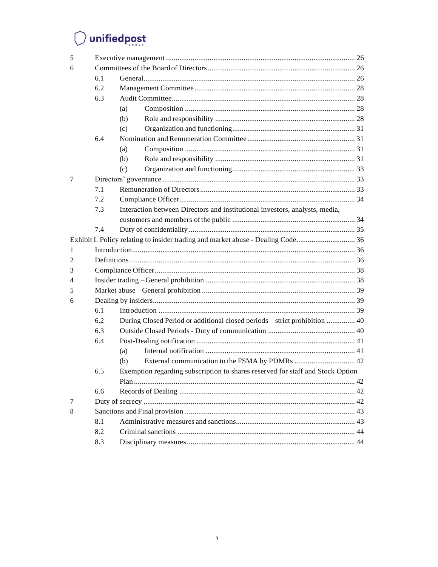# $\bigcirc$  unifiedpost

| 5 |     |                                                                                |  |  |  |
|---|-----|--------------------------------------------------------------------------------|--|--|--|
| 6 |     |                                                                                |  |  |  |
|   | 6.1 |                                                                                |  |  |  |
|   | 6.2 |                                                                                |  |  |  |
|   | 6.3 |                                                                                |  |  |  |
|   |     | (a)                                                                            |  |  |  |
|   |     | (b)                                                                            |  |  |  |
|   |     | (c)                                                                            |  |  |  |
|   | 6.4 |                                                                                |  |  |  |
|   |     | (a)                                                                            |  |  |  |
|   |     | (b)                                                                            |  |  |  |
|   |     | (c)                                                                            |  |  |  |
| 7 |     |                                                                                |  |  |  |
|   | 7.1 |                                                                                |  |  |  |
|   | 7.2 |                                                                                |  |  |  |
|   | 7.3 | Interaction between Directors and institutional investors, analysts, media,    |  |  |  |
|   |     |                                                                                |  |  |  |
|   | 7.4 |                                                                                |  |  |  |
|   |     |                                                                                |  |  |  |
| 1 |     |                                                                                |  |  |  |
| 2 |     |                                                                                |  |  |  |
| 3 |     |                                                                                |  |  |  |
| 4 |     |                                                                                |  |  |  |
| 5 |     |                                                                                |  |  |  |
| 6 |     |                                                                                |  |  |  |
|   | 6.1 |                                                                                |  |  |  |
|   | 6.2 | During Closed Period or additional closed periods – strict prohibition  40     |  |  |  |
|   | 6.3 |                                                                                |  |  |  |
|   | 6.4 |                                                                                |  |  |  |
|   |     | (a)                                                                            |  |  |  |
|   |     | (b)                                                                            |  |  |  |
|   | 6.5 | Exemption regarding subscription to shares reserved for staff and Stock Option |  |  |  |
|   |     |                                                                                |  |  |  |
|   | 6.6 |                                                                                |  |  |  |
| 7 |     |                                                                                |  |  |  |
| 8 |     |                                                                                |  |  |  |
|   | 8.1 |                                                                                |  |  |  |
|   | 8.2 |                                                                                |  |  |  |
|   | 8.3 |                                                                                |  |  |  |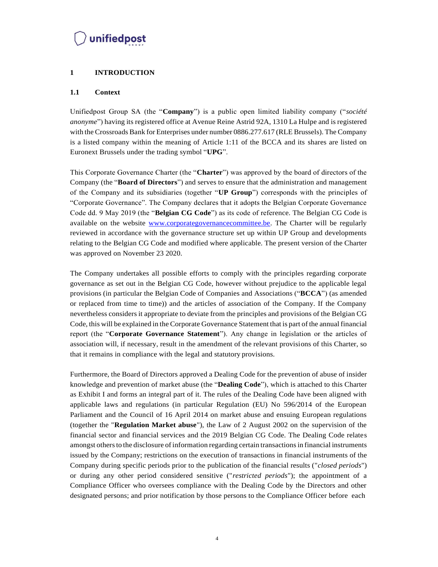#### <span id="page-3-0"></span>**1 INTRODUCTION**

#### <span id="page-3-1"></span>**1.1 Context**

Unifiedpost Group SA (the "**Company**") is a public open limited liability company ("*société anonyme*") having its registered office at Avenue Reine Astrid 92A, 1310 La Hulpe and is registered with the Crossroads Bank for Enterprises under number 0886.277.617 (RLE Brussels). The Company is a listed company within the meaning of Article 1:11 of the BCCA and its shares are listed on Euronext Brussels under the trading symbol "**UPG**".

This Corporate Governance Charter (the "**Charter**") was approved by the board of directors of the Company (the "**Board of Directors**") and serves to ensure that the administration and management of the Company and its subsidiaries (together "**UP Group**") corresponds with the principles of "Corporate Governance". The Company declares that it adopts the Belgian Corporate Governance Code dd. 9 May 2019 (the "**Belgian CG Code**") as its code of reference. The Belgian CG Code is available on the website [www.corporategovernancecommittee.be.](http://www.corporategovernancecommittee.be/) The Charter will be regularly reviewed in accordance with the governance structure set up within UP Group and developments relating to the Belgian CG Code and modified where applicable. The present version of the Charter was approved on November 23 2020.

The Company undertakes all possible efforts to comply with the principles regarding corporate governance as set out in the Belgian CG Code, however without prejudice to the applicable legal provisions (in particular the Belgian Code of Companies and Associations ("**BCCA**") (as amended or replaced from time to time)) and the articles of association of the Company. If the Company nevertheless considers it appropriate to deviate from the principles and provisions of the Belgian CG Code, this will be explained in the Corporate Governance Statement that is part of the annual financial report (the "**Corporate Governance Statement**"). Any change in legislation or the articles of association will, if necessary, result in the amendment of the relevant provisions of this Charter, so that it remains in compliance with the legal and statutory provisions.

Furthermore, the Board of Directors approved a Dealing Code for the prevention of abuse of insider knowledge and prevention of market abuse (the "**Dealing Code**"), which is attached to this Charter as Exhibit I and forms an integral part of it. The rules of the Dealing Code have been aligned with applicable laws and regulations (in particular Regulation (EU) No 596/2014 of the European Parliament and the Council of 16 April 2014 on market abuse and ensuing European regulations (together the "**Regulation Market abuse**"), the Law of 2 August 2002 on the supervision of the financial sector and financial services and the 2019 Belgian CG Code. The Dealing Code relates amongst others to the disclosure of information regarding certain transactions in financial instruments issued by the Company; restrictions on the execution of transactions in financial instruments of the Company during specific periods prior to the publication of the financial results ("*closed periods*") or during any other period considered sensitive ("*restricted periods*"); the appointment of a Compliance Officer who oversees compliance with the Dealing Code by the Directors and other designated persons; and prior notification by those persons to the Compliance Officer before each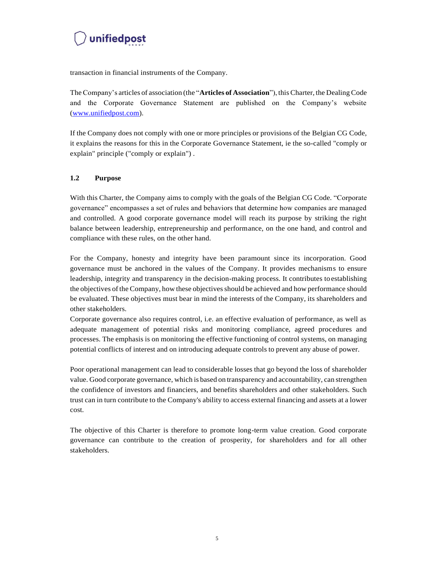

transaction in financial instruments of the Company.

TheCompany's articles of association (the "**Articles of Association**"), this Charter, the Dealing Code and the Corporate Governance Statement are published on the Company's website (www.unifiedpost.com).

If the Company does not comply with one or more principles or provisions of the Belgian CG Code, it explains the reasons for this in the Corporate Governance Statement, ie the so-called "comply or explain" principle ("comply or explain") .

#### <span id="page-4-0"></span>**1.2 Purpose**

With this Charter, the Company aims to comply with the goals of the Belgian CG Code. "Corporate governance" encompasses a set of rules and behaviors that determine how companies are managed and controlled. A good corporate governance model will reach its purpose by striking the right balance between leadership, entrepreneurship and performance, on the one hand, and control and compliance with these rules, on the other hand.

For the Company, honesty and integrity have been paramount since its incorporation. Good governance must be anchored in the values of the Company. It provides mechanisms to ensure leadership, integrity and transparency in the decision-making process. It contributes toestablishing the objectives ofthe Company, how these objectivesshould be achieved and how performance should be evaluated. These objectives must bear in mind the interests of the Company, its shareholders and other stakeholders.

Corporate governance also requires control, i.e. an effective evaluation of performance, as well as adequate management of potential risks and monitoring compliance, agreed procedures and processes. The emphasis is on monitoring the effective functioning of control systems, on managing potential conflicts of interest and on introducing adequate controls to prevent any abuse of power.

Poor operational management can lead to considerable losses that go beyond the loss of shareholder value. Good corporate governance, which is based on transparency and accountability, can strengthen the confidence of investors and financiers, and benefits shareholders and other stakeholders. Such trust can in turn contribute to the Company's ability to access external financing and assets at a lower cost.

The objective of this Charter is therefore to promote long-term value creation. Good corporate governance can contribute to the creation of prosperity, for shareholders and for all other stakeholders.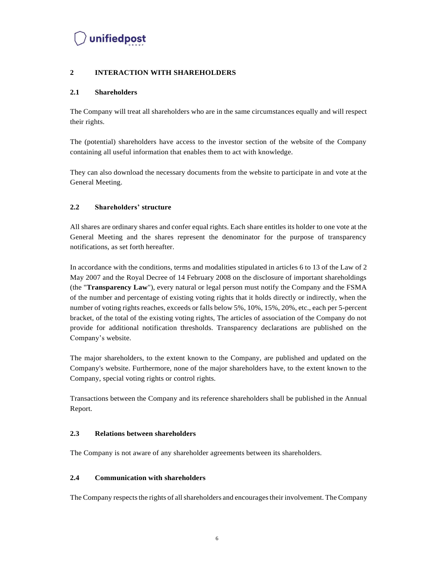#### <span id="page-5-0"></span>**2 INTERACTION WITH SHAREHOLDERS**

#### <span id="page-5-1"></span>**2.1 Shareholders**

The Company will treat all shareholders who are in the same circumstances equally and will respect their rights.

The (potential) shareholders have access to the investor section of the website of the Company containing all useful information that enables them to act with knowledge.

They can also download the necessary documents from the website to participate in and vote at the General Meeting.

#### <span id="page-5-2"></span>**2.2 Shareholders' structure**

All shares are ordinary shares and confer equal rights. Each share entitles its holder to one vote at the General Meeting and the shares represent the denominator for the purpose of transparency notifications, as set forth hereafter.

In accordance with the conditions, terms and modalities stipulated in articles 6 to 13 of the Law of 2 May 2007 and the Royal Decree of 14 February 2008 on the disclosure of important shareholdings (the "**Transparency Law**"), every natural or legal person must notify the Company and the FSMA of the number and percentage of existing voting rights that it holds directly or indirectly, when the number of voting rights reaches, exceeds or falls below 5%, 10%, 15%, 20%, etc., each per 5-percent bracket, of the total of the existing voting rights, The articles of association of the Company do not provide for additional notification thresholds. Transparency declarations are published on the Company's website.

The major shareholders, to the extent known to the Company, are published and updated on the Company's website. Furthermore, none of the major shareholders have, to the extent known to the Company, special voting rights or control rights.

Transactions between the Company and its reference shareholders shall be published in the Annual Report.

#### <span id="page-5-3"></span>**2.3 Relations between shareholders**

The Company is not aware of any shareholder agreements between its shareholders.

#### <span id="page-5-4"></span>**2.4 Communication with shareholders**

The Company respects the rights of all shareholders and encourages their involvement. The Company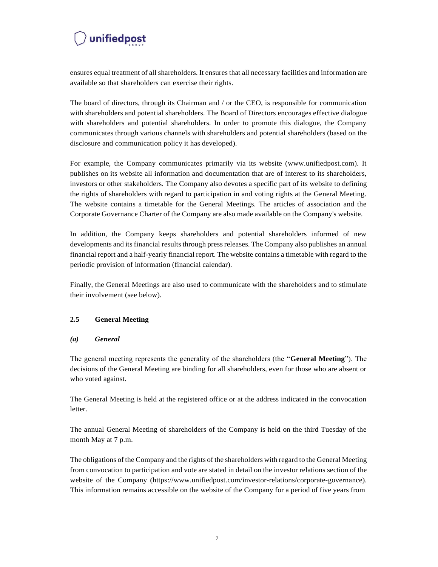ensures equal treatment of all shareholders. It ensures that all necessary facilities and information are available so that shareholders can exercise their rights.

The board of directors, through its Chairman and / or the CEO, is responsible for communication with shareholders and potential shareholders. The Board of Directors encourages effective dialogue with shareholders and potential shareholders. In order to promote this dialogue, the Company communicates through various channels with shareholders and potential shareholders (based on the disclosure and communication policy it has developed).

For example, the Company communicates primarily via its website (www.unifiedpost.com). It publishes on its website all information and documentation that are of interest to its shareholders, investors or other stakeholders. The Company also devotes a specific part of its website to defining the rights of shareholders with regard to participation in and voting rights at the General Meeting. The website contains a timetable for the General Meetings. The articles of association and the Corporate Governance Charter of the Company are also made available on the Company's website.

In addition, the Company keeps shareholders and potential shareholders informed of new developments and its financial results through press releases. The Company also publishes an annual financial report and a half-yearly financial report. The website contains a timetable with regard to the periodic provision of information (financial calendar).

Finally, the General Meetings are also used to communicate with the shareholders and to stimulate their involvement (see below).

#### <span id="page-6-0"></span>**2.5 General Meeting**

#### <span id="page-6-1"></span>*(a) General*

The general meeting represents the generality of the shareholders (the "**General Meeting**"). The decisions of the General Meeting are binding for all shareholders, even for those who are absent or who voted against.

The General Meeting is held at the registered office or at the address indicated in the convocation letter.

The annual General Meeting of shareholders of the Company is held on the third Tuesday of the month May at 7 p.m.

The obligations of the Company and the rights of the shareholders with regard to the General Meeting from convocation to participation and vote are stated in detail on the investor relations section of the website of the Company (http[s://www.unifiedpost.com/investor-relations/corporate-governance\).](http://www.unifiedpost.com/investor-relations/corporate-governance)) This information remains accessible on the website of the Company for a period of five years from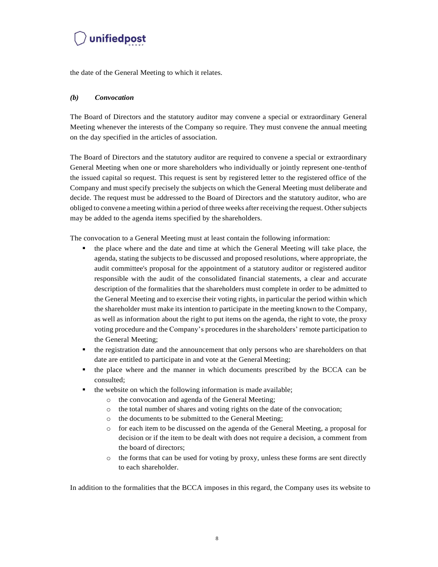

the date of the General Meeting to which it relates.

#### <span id="page-7-0"></span>*(b) Convocation*

The Board of Directors and the statutory auditor may convene a special or extraordinary General Meeting whenever the interests of the Company so require. They must convene the annual meeting on the day specified in the articles of association.

The Board of Directors and the statutory auditor are required to convene a special or extraordinary General Meeting when one or more shareholders who individually or jointly represent one-tenthof the issued capital so request. This request is sent by registered letter to the registered office of the Company and must specify precisely the subjects on which the General Meeting must deliberate and decide. The request must be addressed to the Board of Directors and the statutory auditor, who are obliged to convene a meeting within a period of three weeks after receiving the request. Othersubjects may be added to the agenda items specified by the shareholders.

The convocation to a General Meeting must at least contain the following information:

- the place where and the date and time at which the General Meeting will take place, the agenda, stating the subjects to be discussed and proposed resolutions, where appropriate, the audit committee's proposal for the appointment of a statutory auditor or registered auditor responsible with the audit of the consolidated financial statements, a clear and accurate description of the formalities that the shareholders must complete in order to be admitted to the General Meeting and to exercise their voting rights, in particular the period within which the shareholder must make its intention to participate in the meeting known to the Company, as well as information about the right to put items on the agenda, the right to vote, the proxy voting procedure and the Company's procedures in the shareholders' remote participation to the General Meeting;
- the registration date and the announcement that only persons who are shareholders on that date are entitled to participate in and vote at the General Meeting;
- the place where and the manner in which documents prescribed by the BCCA can be consulted;
- the website on which the following information is made available;
	- o the convocation and agenda of the General Meeting;
	- o the total number of shares and voting rights on the date of the convocation;
	- o the documents to be submitted to the General Meeting;
	- o for each item to be discussed on the agenda of the General Meeting, a proposal for decision or if the item to be dealt with does not require a decision, a comment from the board of directors;
	- $\circ$  the forms that can be used for voting by proxy, unless these forms are sent directly to each shareholder.

In addition to the formalities that the BCCA imposes in this regard, the Company uses its website to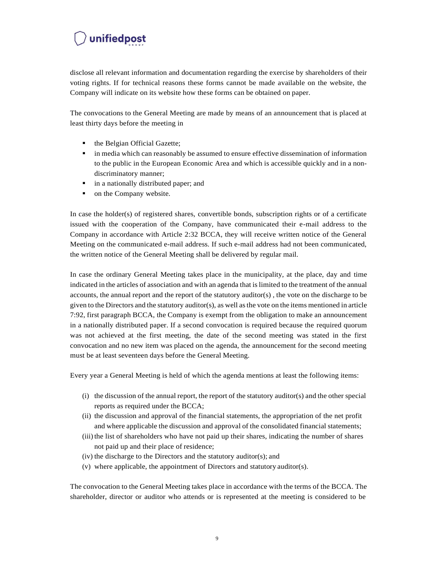disclose all relevant information and documentation regarding the exercise by shareholders of their voting rights. If for technical reasons these forms cannot be made available on the website, the Company will indicate on its website how these forms can be obtained on paper.

The convocations to the General Meeting are made by means of an announcement that is placed at least thirty days before the meeting in

- the Belgian Official Gazette;
- **•** in media which can reasonably be assumed to ensure effective dissemination of information to the public in the European Economic Area and which is accessible quickly and in a nondiscriminatory manner;
- in a nationally distributed paper; and
- on the Company website.

In case the holder(s) of registered shares, convertible bonds, subscription rights or of a certificate issued with the cooperation of the Company, have communicated their e-mail address to the Company in accordance with Article 2:32 BCCA, they will receive written notice of the General Meeting on the communicated e-mail address. If such e-mail address had not been communicated, the written notice of the General Meeting shall be delivered by regular mail.

In case the ordinary General Meeting takes place in the municipality, at the place, day and time indicated in the articles of association and with an agenda that islimited to the treatment of the annual accounts, the annual report and the report of the statutory auditor(s) , the vote on the discharge to be given to the Directors and the statutory auditor(s), as well asthe vote on the items mentioned in article 7:92, first paragraph BCCA, the Company is exempt from the obligation to make an announcement in a nationally distributed paper. If a second convocation is required because the required quorum was not achieved at the first meeting, the date of the second meeting was stated in the first convocation and no new item was placed on the agenda, the announcement for the second meeting must be at least seventeen days before the General Meeting.

Every year a General Meeting is held of which the agenda mentions at least the following items:

- (i) the discussion of the annual report, the report of the statutory auditor(s) and the other special reports as required under the BCCA;
- (ii) the discussion and approval of the financial statements, the appropriation of the net profit and where applicable the discussion and approval of the consolidated financial statements;
- (iii) the list of shareholders who have not paid up their shares, indicating the number of shares not paid up and their place of residence;
- (iv) the discharge to the Directors and the statutory auditor(s); and
- (v) where applicable, the appointment of Directors and statutory auditor(s).

The convocation to the General Meeting takes place in accordance with the terms of the BCCA. The shareholder, director or auditor who attends or is represented at the meeting is considered to be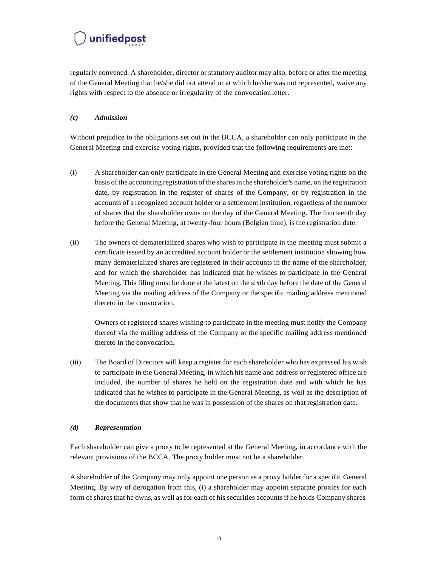regularly convened. A shareholder, director or statutory auditor may also, before or after the meeting of the General Meeting that he/she did not attend or at which he/she was not represented, waive any rights with respect to the absence or irregularity of the convocation letter.

#### <span id="page-9-0"></span>*(c) Admission*

Without prejudice to the obligations set out in the BCCA, a shareholder can only participate in the General Meeting and exercise voting rights, provided that the following requirements are met:

- (i) A shareholder can only participate in the General Meeting and exercise voting rights on the basis of the accounting registration of the sharesin the shareholder's name, on the registration date, by registration in the register of shares of the Company, or by registration in the accounts of a recognized account holder or a settlement institution, regardless of the number of shares that the shareholder owns on the day of the General Meeting. The fourteenth day before the General Meeting, at twenty-four hours (Belgian time), is the registration date.
- (ii) The owners of dematerialized shares who wish to participate in the meeting must submit a certificate issued by an accredited account holder or the settlement institution showing how many dematerialized shares are registered in their accounts in the name of the shareholder, and for which the shareholder has indicated that he wishes to participate in the General Meeting. This filing must be done at the latest on the sixth day before the date of the General Meeting via the mailing address of the Company or the specific mailing address mentioned thereto in the convocation.

Owners of registered shares wishing to participate in the meeting must notify the Company thereof via the mailing address of the Company or the specific mailing address mentioned thereto in the convocation.

(iii) The Board of Directors will keep a register for each shareholder who has expressed his wish to participate in the General Meeting, in which his name and address or registered office are included, the number of shares he held on the registration date and with which he has indicated that he wishes to participate in the General Meeting, as well as the description of the documents that show that he was in possession of the shares on that registration date.

#### <span id="page-9-1"></span>*(d) Representation*

Each shareholder can give a proxy to be represented at the General Meeting, in accordance with the relevant provisions of the BCCA. The proxy holder must not be a shareholder.

A shareholder of the Company may only appoint one person as a proxy holder for a specific General Meeting. By way of derogation from this, (i) a shareholder may appoint separate proxies for each form of shares that he owns, as well as for each of his securities accountsif he holds Company shares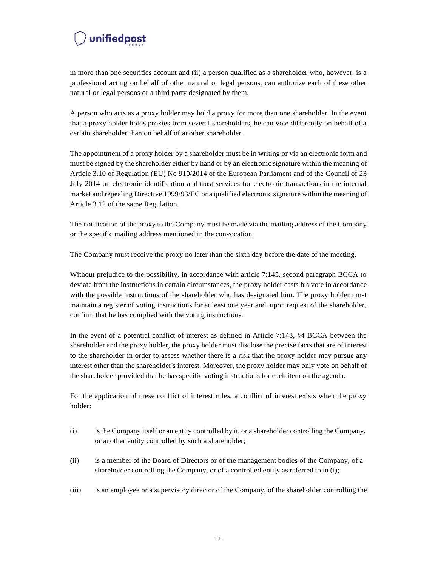in more than one securities account and (ii) a person qualified as a shareholder who, however, is a professional acting on behalf of other natural or legal persons, can authorize each of these other natural or legal persons or a third party designated by them.

A person who acts as a proxy holder may hold a proxy for more than one shareholder. In the event that a proxy holder holds proxies from several shareholders, he can vote differently on behalf of a certain shareholder than on behalf of another shareholder.

The appointment of a proxy holder by a shareholder must be in writing or via an electronic form and must be signed by the shareholder either by hand or by an electronic signature within the meaning of Article 3.10 of Regulation (EU) No 910/2014 of the European Parliament and of the Council of 23 July 2014 on electronic identification and trust services for electronic transactions in the internal market and repealing Directive 1999/93/EC or a qualified electronic signature within the meaning of Article 3.12 of the same Regulation.

The notification of the proxy to the Company must be made via the mailing address of the Company or the specific mailing address mentioned in the convocation.

The Company must receive the proxy no later than the sixth day before the date of the meeting.

Without prejudice to the possibility, in accordance with article 7:145, second paragraph BCCA to deviate from the instructions in certain circumstances, the proxy holder casts his vote in accordance with the possible instructions of the shareholder who has designated him. The proxy holder must maintain a register of voting instructions for at least one year and, upon request of the shareholder, confirm that he has complied with the voting instructions.

In the event of a potential conflict of interest as defined in Article 7:143, §4 BCCA between the shareholder and the proxy holder, the proxy holder must disclose the precise facts that are of interest to the shareholder in order to assess whether there is a risk that the proxy holder may pursue any interest other than the shareholder's interest. Moreover, the proxy holder may only vote on behalf of the shareholder provided that he has specific voting instructions for each item on the agenda.

For the application of these conflict of interest rules, a conflict of interest exists when the proxy holder:

- (i) isthe Company itself or an entity controlled by it, or a shareholder controlling the Company, or another entity controlled by such a shareholder;
- (ii) is a member of the Board of Directors or of the management bodies of the Company, of a shareholder controlling the Company, or of a controlled entity as referred to in (i);
- (iii) is an employee or a supervisory director of the Company, of the shareholder controlling the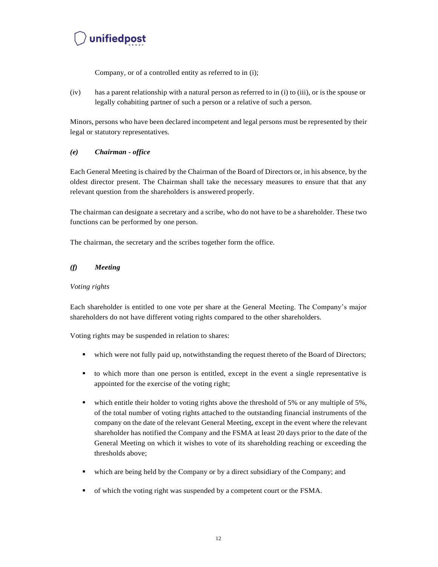Company, or of a controlled entity as referred to in (i);

(iv) has a parent relationship with a natural person as referred to in (i) to (iii), or is the spouse or legally cohabiting partner of such a person or a relative of such a person.

Minors, persons who have been declared incompetent and legal persons must be represented by their legal or statutory representatives.

#### <span id="page-11-0"></span>*(e) Chairman - office*

Each General Meeting is chaired by the Chairman of the Board of Directors or, in his absence, by the oldest director present. The Chairman shall take the necessary measures to ensure that that any relevant question from the shareholders is answered properly.

The chairman can designate a secretary and a scribe, who do not have to be a shareholder. These two functions can be performed by one person.

The chairman, the secretary and the scribes together form the office.

#### <span id="page-11-1"></span>*(f) Meeting*

#### *Voting rights*

Each shareholder is entitled to one vote per share at the General Meeting. The Company's major shareholders do not have different voting rights compared to the other shareholders.

Voting rights may be suspended in relation to shares:

- which were not fully paid up, notwithstanding the request thereto of the Board of Directors;
- to which more than one person is entitled, except in the event a single representative is appointed for the exercise of the voting right;
- $\bullet$  which entitle their holder to voting rights above the threshold of 5% or any multiple of 5%, of the total number of voting rights attached to the outstanding financial instruments of the company on the date of the relevant General Meeting, except in the event where the relevant shareholder has notified the Company and the FSMA at least 20 days prior to the date of the General Meeting on which it wishes to vote of its shareholding reaching or exceeding the thresholds above;
- which are being held by the Company or by a direct subsidiary of the Company; and
- of which the voting right was suspended by a competent court or the FSMA.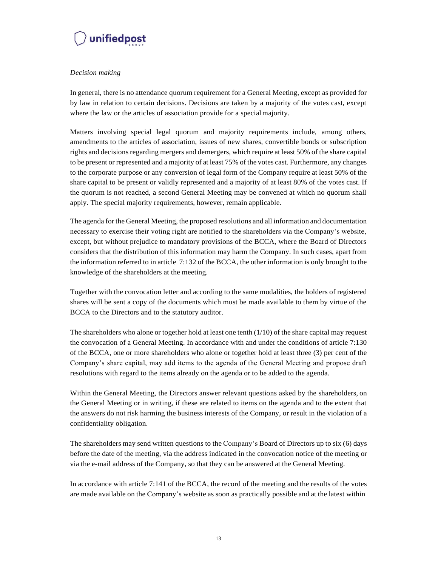

#### *Decision making*

In general, there is no attendance quorum requirement for a General Meeting, except as provided for by law in relation to certain decisions. Decisions are taken by a majority of the votes cast, except where the law or the articles of association provide for a specialmajority.

Matters involving special legal quorum and majority requirements include, among others, amendments to the articles of association, issues of new shares, convertible bonds or subscription rights and decisions regarding mergers and demergers, which require at least 50% of the share capital to be present or represented and a majority of at least 75% of the votes cast. Furthermore, any changes to the corporate purpose or any conversion of legal form of the Company require at least 50% of the share capital to be present or validly represented and a majority of at least 80% of the votes cast. If the quorum is not reached, a second General Meeting may be convened at which no quorum shall apply. The special majority requirements, however, remain applicable.

The agenda for the General Meeting, the proposed resolutions and all information and documentation necessary to exercise their voting right are notified to the shareholders via the Company's website, except, but without prejudice to mandatory provisions of the BCCA, where the Board of Directors considers that the distribution of this information may harm the Company. In such cases, apart from the information referred to in article 7:132 of the BCCA, the other information is only brought to the knowledge of the shareholders at the meeting.

Together with the convocation letter and according to the same modalities, the holders of registered shares will be sent a copy of the documents which must be made available to them by virtue of the BCCA to the Directors and to the statutory auditor.

The shareholders who alone or together hold at least one tenth (1/10) of the share capital may request the convocation of a General Meeting. In accordance with and under the conditions of article 7:130 of the BCCA, one or more shareholders who alone or together hold at least three (3) per cent of the Company's share capital, may add items to the agenda of the General Meeting and propose draft resolutions with regard to the items already on the agenda or to be added to the agenda.

Within the General Meeting, the Directors answer relevant questions asked by the shareholders, on the General Meeting or in writing, if these are related to items on the agenda and to the extent that the answers do not risk harming the business interests of the Company, or result in the violation of a confidentiality obligation.

The shareholders may send written questions to the Company's Board of Directors up to six (6) days before the date of the meeting, via the address indicated in the convocation notice of the meeting or via the e-mail address of the Company, so that they can be answered at the General Meeting.

In accordance with article 7:141 of the BCCA, the record of the meeting and the results of the votes are made available on the Company's website as soon as practically possible and at the latest within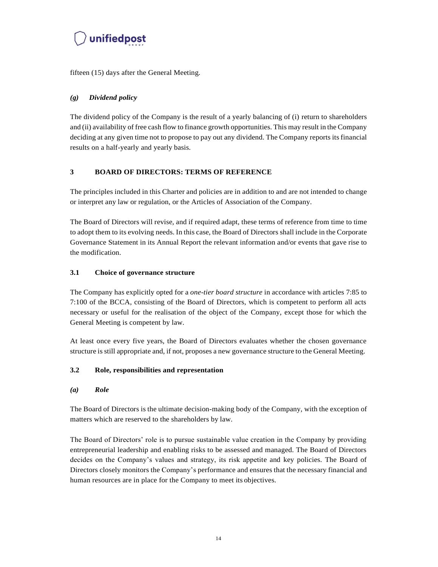

fifteen (15) days after the General Meeting.

#### <span id="page-13-0"></span>*(g) Dividend policy*

The dividend policy of the Company is the result of a yearly balancing of (i) return to shareholders and (ii) availability of free cash flow to finance growth opportunities. This may result in the Company deciding at any given time not to propose to pay out any dividend. The Company reports its financial results on a half-yearly and yearly basis.

#### <span id="page-13-1"></span>**3 BOARD OF DIRECTORS: TERMS OF REFERENCE**

The principles included in this Charter and policies are in addition to and are not intended to change or interpret any law or regulation, or the Articles of Association of the Company.

The Board of Directors will revise, and if required adapt, these terms of reference from time to time to adopt them to its evolving needs. In this case, the Board of Directors shall include in the Corporate Governance Statement in its Annual Report the relevant information and/or events that gave rise to the modification.

#### <span id="page-13-2"></span>**3.1 Choice of governance structure**

The Company has explicitly opted for a *one-tier board structure* in accordance with articles 7:85 to 7:100 of the BCCA, consisting of the Board of Directors, which is competent to perform all acts necessary or useful for the realisation of the object of the Company, except those for which the General Meeting is competent by law.

At least once every five years, the Board of Directors evaluates whether the chosen governance structure is still appropriate and, if not, proposes a new governance structure to the General Meeting.

#### <span id="page-13-3"></span>**3.2 Role, responsibilities and representation**

#### <span id="page-13-4"></span>*(a) Role*

The Board of Directors is the ultimate decision-making body of the Company, with the exception of matters which are reserved to the shareholders by law.

The Board of Directors' role is to pursue sustainable value creation in the Company by providing entrepreneurial leadership and enabling risks to be assessed and managed. The Board of Directors decides on the Company's values and strategy, its risk appetite and key policies. The Board of Directors closely monitors the Company's performance and ensures that the necessary financial and human resources are in place for the Company to meet its objectives.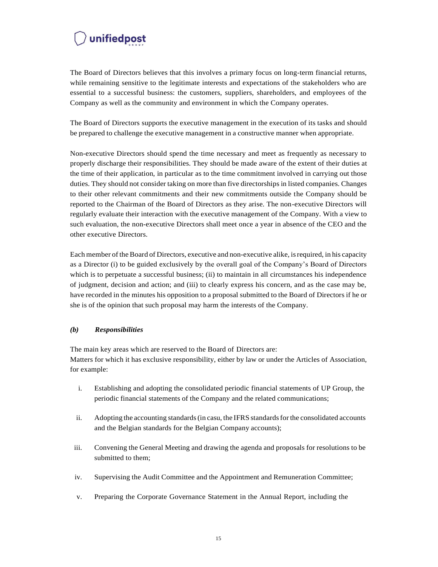The Board of Directors believes that this involves a primary focus on long-term financial returns, while remaining sensitive to the legitimate interests and expectations of the stakeholders who are essential to a successful business: the customers, suppliers, shareholders, and employees of the Company as well as the community and environment in which the Company operates.

The Board of Directors supports the executive management in the execution of its tasks and should be prepared to challenge the executive management in a constructive manner when appropriate.

Non-executive Directors should spend the time necessary and meet as frequently as necessary to properly discharge their responsibilities. They should be made aware of the extent of their duties at the time of their application, in particular as to the time commitment involved in carrying out those duties. They should not consider taking on more than five directorships in listed companies. Changes to their other relevant commitments and their new commitments outside the Company should be reported to the Chairman of the Board of Directors as they arise. The non-executive Directors will regularly evaluate their interaction with the executive management of the Company. With a view to such evaluation, the non-executive Directors shall meet once a year in absence of the CEO and the other executive Directors.

Each member of the Board of Directors, executive and non-executive alike, is required, in his capacity as a Director (i) to be guided exclusively by the overall goal of the Company's Board of Directors which is to perpetuate a successful business; (ii) to maintain in all circumstances his independence of judgment, decision and action; and (iii) to clearly express his concern, and as the case may be, have recorded in the minutes his opposition to a proposal submitted to the Board of Directors if he or she is of the opinion that such proposal may harm the interests of the Company.

#### <span id="page-14-0"></span>*(b) Responsibilities*

The main key areas which are reserved to the Board of Directors are: Matters for which it has exclusive responsibility, either by law or under the Articles of Association, for example:

- i. Establishing and adopting the consolidated periodic financial statements of UP Group, the periodic financial statements of the Company and the related communications;
- ii. Adopting the accounting standards (in casu, the IFRS standards for the consolidated accounts and the Belgian standards for the Belgian Company accounts);
- iii. Convening the General Meeting and drawing the agenda and proposals for resolutions to be submitted to them;
- iv. Supervising the Audit Committee and the Appointment and Remuneration Committee;
- v. Preparing the Corporate Governance Statement in the Annual Report, including the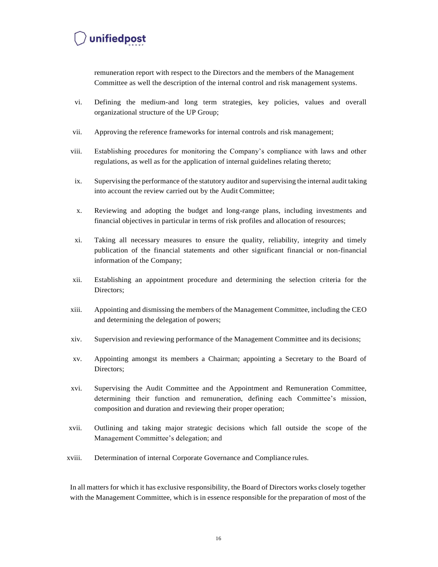remuneration report with respect to the Directors and the members of the Management Committee as well the description of the internal control and risk management systems.

- vi. Defining the medium-and long term strategies, key policies, values and overall organizational structure of the UP Group;
- vii. Approving the reference frameworks for internal controls and risk management;
- viii. Establishing procedures for monitoring the Company's compliance with laws and other regulations, as well as for the application of internal guidelines relating thereto;
- ix. Supervising the performance of the statutory auditor and supervising the internal audit taking into account the review carried out by the Audit Committee;
- x. Reviewing and adopting the budget and long-range plans, including investments and financial objectives in particular in terms of risk profiles and allocation of resources;
- xi. Taking all necessary measures to ensure the quality, reliability, integrity and timely publication of the financial statements and other significant financial or non-financial information of the Company;
- xii. Establishing an appointment procedure and determining the selection criteria for the Directors;
- xiii. Appointing and dismissing the members of the Management Committee, including the CEO and determining the delegation of powers;
- xiv. Supervision and reviewing performance of the Management Committee and its decisions;
- xv. Appointing amongst its members a Chairman; appointing a Secretary to the Board of Directors;
- xvi. Supervising the Audit Committee and the Appointment and Remuneration Committee, determining their function and remuneration, defining each Committee's mission, composition and duration and reviewing their proper operation;
- xvii. Outlining and taking major strategic decisions which fall outside the scope of the Management Committee's delegation; and
- xviii. Determination of internal Corporate Governance and Compliance rules.

In all matters for which it has exclusive responsibility, the Board of Directors works closely together with the Management Committee, which is in essence responsible for the preparation of most of the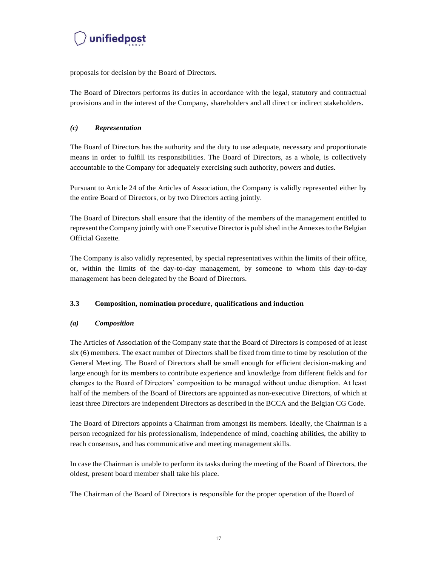

proposals for decision by the Board of Directors.

The Board of Directors performs its duties in accordance with the legal, statutory and contractual provisions and in the interest of the Company, shareholders and all direct or indirect stakeholders.

#### <span id="page-16-0"></span>*(c) Representation*

The Board of Directors has the authority and the duty to use adequate, necessary and proportionate means in order to fulfill its responsibilities. The Board of Directors, as a whole, is collectively accountable to the Company for adequately exercising such authority, powers and duties.

Pursuant to Article 24 of the Articles of Association, the Company is validly represented either by the entire Board of Directors, or by two Directors acting jointly.

The Board of Directors shall ensure that the identity of the members of the management entitled to represent the Company jointly with one Executive Director is published in the Annexesto the Belgian Official Gazette.

The Company is also validly represented, by special representatives within the limits of their office, or, within the limits of the day-to-day management, by someone to whom this day-to-day management has been delegated by the Board of Directors.

#### <span id="page-16-1"></span>**3.3 Composition, nomination procedure, qualifications and induction**

#### <span id="page-16-2"></span>*(a) Composition*

The Articles of Association of the Company state that the Board of Directors is composed of at least six (6) members. The exact number of Directors shall be fixed from time to time by resolution of the General Meeting. The Board of Directors shall be small enough for efficient decision-making and large enough for its members to contribute experience and knowledge from different fields and for changes to the Board of Directors' composition to be managed without undue disruption. At least half of the members of the Board of Directors are appointed as non-executive Directors, of which at least three Directors are independent Directors as described in the BCCA and the Belgian CG Code.

The Board of Directors appoints a Chairman from amongst its members. Ideally, the Chairman is a person recognized for his professionalism, independence of mind, coaching abilities, the ability to reach consensus, and has communicative and meeting management skills.

In case the Chairman is unable to perform its tasks during the meeting of the Board of Directors, the oldest, present board member shall take his place.

The Chairman of the Board of Directors is responsible for the proper operation of the Board of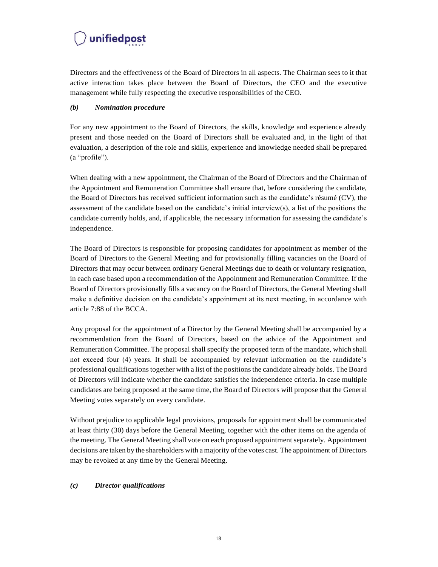Directors and the effectiveness of the Board of Directors in all aspects. The Chairman sees to it that active interaction takes place between the Board of Directors, the CEO and the executive management while fully respecting the executive responsibilities of the CEO.

#### <span id="page-17-0"></span>*(b) Nomination procedure*

For any new appointment to the Board of Directors, the skills, knowledge and experience already present and those needed on the Board of Directors shall be evaluated and, in the light of that evaluation, a description of the role and skills, experience and knowledge needed shall be prepared (a "profile").

When dealing with a new appointment, the Chairman of the Board of Directors and the Chairman of the Appointment and Remuneration Committee shall ensure that, before considering the candidate, the Board of Directors has received sufficient information such as the candidate's résumé (CV), the assessment of the candidate based on the candidate's initial interview(s), a list of the positions the candidate currently holds, and, if applicable, the necessary information for assessing the candidate's independence.

The Board of Directors is responsible for proposing candidates for appointment as member of the Board of Directors to the General Meeting and for provisionally filling vacancies on the Board of Directors that may occur between ordinary General Meetings due to death or voluntary resignation, in each case based upon a recommendation of the Appointment and Remuneration Committee. If the Board of Directors provisionally fills a vacancy on the Board of Directors, the General Meeting shall make a definitive decision on the candidate's appointment at its next meeting, in accordance with article 7:88 of the BCCA.

Any proposal for the appointment of a Director by the General Meeting shall be accompanied by a recommendation from the Board of Directors, based on the advice of the Appointment and Remuneration Committee. The proposal shall specify the proposed term of the mandate, which shall not exceed four (4) years. It shall be accompanied by relevant information on the candidate's professional qualificationstogether with a list of the positionsthe candidate already holds. The Board of Directors will indicate whether the candidate satisfies the independence criteria. In case multiple candidates are being proposed at the same time, the Board of Directors will propose that the General Meeting votes separately on every candidate.

Without prejudice to applicable legal provisions, proposals for appointment shall be communicated at least thirty (30) days before the General Meeting, together with the other items on the agenda of the meeting. The General Meeting shall vote on each proposed appointment separately. Appointment decisions are taken by the shareholders with a majority of the votes cast. The appointment of Directors may be revoked at any time by the General Meeting.

#### <span id="page-17-1"></span>*(c) Director qualifications*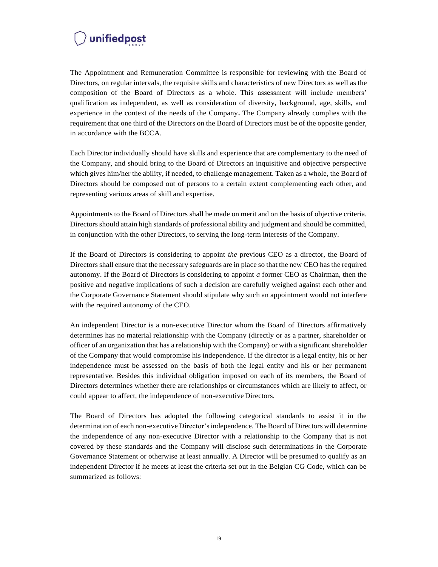The Appointment and Remuneration Committee is responsible for reviewing with the Board of Directors, on regular intervals, the requisite skills and characteristics of new Directors as well as the composition of the Board of Directors as a whole. This assessment will include members' qualification as independent, as well as consideration of diversity, background, age, skills, and experience in the context of the needs of the Company**.** The Company already complies with the requirement that one third of the Directors on the Board of Directors must be of the opposite gender, in accordance with the BCCA.

Each Director individually should have skills and experience that are complementary to the need of the Company, and should bring to the Board of Directors an inquisitive and objective perspective which gives him/her the ability, if needed, to challenge management. Taken as a whole, the Board of Directors should be composed out of persons to a certain extent complementing each other, and representing various areas of skill and expertise.

Appointments to the Board of Directors shall be made on merit and on the basis of objective criteria. Directorsshould attain high standards of professional ability and judgment and should be committed, in conjunction with the other Directors, to serving the long-term interests of the Company.

If the Board of Directors is considering to appoint *the* previous CEO as a director, the Board of Directors shall ensure that the necessary safeguards are in place so that the new CEO has the required autonomy. If the Board of Directors is considering to appoint *a* former CEO as Chairman, then the positive and negative implications of such a decision are carefully weighed against each other and the Corporate Governance Statement should stipulate why such an appointment would not interfere with the required autonomy of the CEO.

An independent Director is a non-executive Director whom the Board of Directors affirmatively determines has no material relationship with the Company (directly or as a partner, shareholder or officer of an organization that has a relationship with the Company) or with a significant shareholder of the Company that would compromise his independence. If the director is a legal entity, his or her independence must be assessed on the basis of both the legal entity and his or her permanent representative. Besides this individual obligation imposed on each of its members, the Board of Directors determines whether there are relationships or circumstances which are likely to affect, or could appear to affect, the independence of non-executive Directors.

The Board of Directors has adopted the following categorical standards to assist it in the determination of each non-executive Director'sindependence. The Board of Directors will determine the independence of any non-executive Director with a relationship to the Company that is not covered by these standards and the Company will disclose such determinations in the Corporate Governance Statement or otherwise at least annually. A Director will be presumed to qualify as an independent Director if he meets at least the criteria set out in the Belgian CG Code, which can be summarized as follows: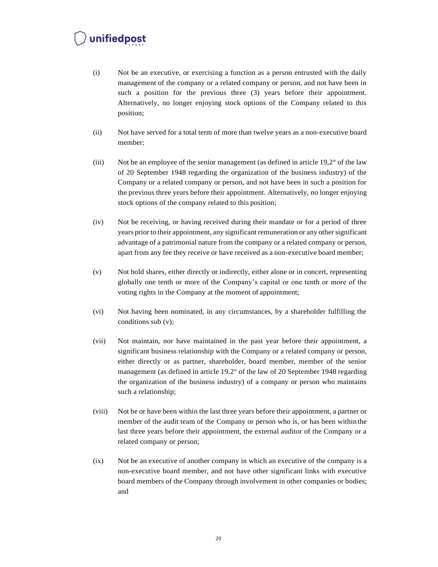- (i) Not be an executive, or exercising a function as a person entrusted with the daily management of the company or a related company or person, and not have been in such a position for the previous three (3) years before their appointment. Alternatively, no longer enjoying stock options of the Company related to this position;
- (ii) Not have served for a total term of more than twelve years as a non-executive board member;
- (iii) Not be an employee of the senior management (as defined in article  $19.2^{\circ}$  of the law of 20 September 1948 regarding the organization of the business industry) of the Company or a related company or person, and not have been in such a position for the previous three years before their appointment. Alternatively, no longer enjoying stock options of the company related to this position;
- (iv) Not be receiving, or having received during their mandate or for a period of three years prior to their appointment, any significant remuneration or any other significant advantage of a patrimonial nature from the company or a related company or person, apart from any fee they receive or have received as a non-executive board member;
- (v) Not hold shares, either directly or indirectly, either alone or in concert, representing globally one tenth or more of the Company's capital or one tenth or more of the voting rights in the Company at the moment of appointment;
- (vi) Not having been nominated, in any circumstances, by a shareholder fulfilling the conditions sub (v);
- (vii) Not maintain, nor have maintained in the past year before their appointment, a significant business relationship with the Company or a related company or person, either directly or as partner, shareholder, board member, member of the senior management (as defined in article 19.2° of the law of 20 September 1948 regarding the organization of the business industry) of a company or person who maintains such a relationship;
- (viii) Not be or have been within the last three years before their appointment, a partner or member of the audit team of the Company or person who is, or has been within the last three years before their appointment, the external auditor of the Company or a related company or person;
- (ix) Not be an executive of another company in which an executive of the company is a non-executive board member, and not have other significant links with executive board members of the Company through involvement in other companies or bodies; and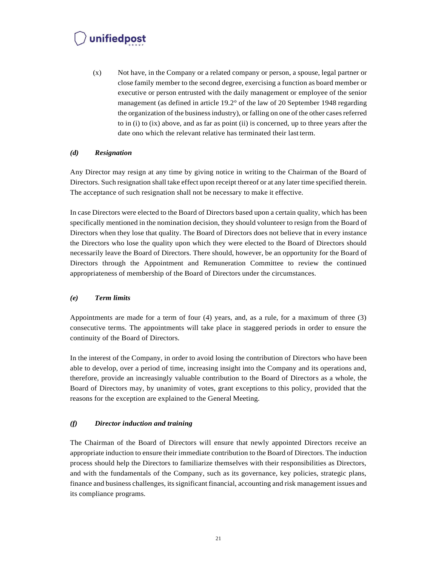(x) Not have, in the Company or a related company or person, a spouse, legal partner or close family member to the second degree, exercising a function as board member or executive or person entrusted with the daily management or employee of the senior management (as defined in article 19.2° of the law of 20 September 1948 regarding the organization of the businessindustry), or falling on one of the other casesreferred to in (i) to (ix) above, and as far as point (ii) is concerned, up to three years after the date ono which the relevant relative has terminated their last term.

#### <span id="page-20-0"></span>*(d) Resignation*

Any Director may resign at any time by giving notice in writing to the Chairman of the Board of Directors. Such resignation shall take effect upon receipt thereof or at any later time specified therein. The acceptance of such resignation shall not be necessary to make it effective.

In case Directors were elected to the Board of Directors based upon a certain quality, which has been specifically mentioned in the nomination decision, they should volunteer to resign from the Board of Directors when they lose that quality. The Board of Directors does not believe that in every instance the Directors who lose the quality upon which they were elected to the Board of Directors should necessarily leave the Board of Directors. There should, however, be an opportunity for the Board of Directors through the Appointment and Remuneration Committee to review the continued appropriateness of membership of the Board of Directors under the circumstances.

#### <span id="page-20-1"></span>*(e) Term limits*

Appointments are made for a term of four (4) years, and, as a rule, for a maximum of three (3) consecutive terms. The appointments will take place in staggered periods in order to ensure the continuity of the Board of Directors.

In the interest of the Company, in order to avoid losing the contribution of Directors who have been able to develop, over a period of time, increasing insight into the Company and its operations and, therefore, provide an increasingly valuable contribution to the Board of Directors as a whole, the Board of Directors may, by unanimity of votes, grant exceptions to this policy, provided that the reasons for the exception are explained to the General Meeting.

#### <span id="page-20-2"></span>*(f) Director induction and training*

The Chairman of the Board of Directors will ensure that newly appointed Directors receive an appropriate induction to ensure their immediate contribution to the Board of Directors. The induction process should help the Directors to familiarize themselves with their responsibilities as Directors, and with the fundamentals of the Company, such as its governance, key policies, strategic plans, finance and business challenges, itssignificant financial, accounting and risk management issues and its compliance programs.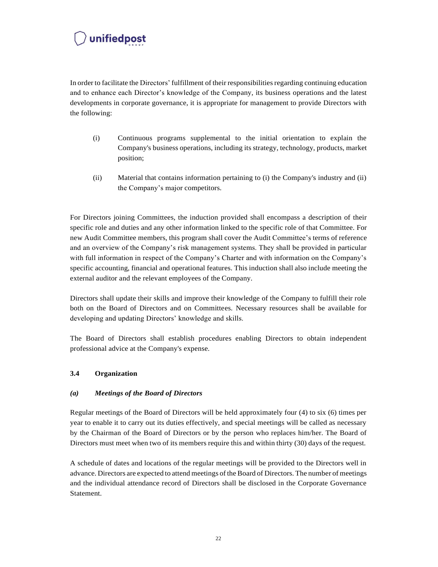In order to facilitate the Directors' fulfillment of their responsibilitiesregarding continuing education and to enhance each Director's knowledge of the Company, its business operations and the latest developments in corporate governance, it is appropriate for management to provide Directors with the following:

- (i) Continuous programs supplemental to the initial orientation to explain the Company's business operations, including its strategy, technology, products, market position;
- (ii) Material that contains information pertaining to (i) the Company's industry and (ii) the Company's major competitors.

For Directors joining Committees, the induction provided shall encompass a description of their specific role and duties and any other information linked to the specific role of that Committee. For new Audit Committee members, this program shall cover the Audit Committee's terms of reference and an overview of the Company's risk management systems. They shall be provided in particular with full information in respect of the Company's Charter and with information on the Company's specific accounting, financial and operational features. This induction shall also include meeting the external auditor and the relevant employees of the Company.

Directors shall update their skills and improve their knowledge of the Company to fulfill their role both on the Board of Directors and on Committees. Necessary resources shall be available for developing and updating Directors' knowledge and skills.

The Board of Directors shall establish procedures enabling Directors to obtain independent professional advice at the Company's expense.

#### <span id="page-21-0"></span>**3.4 Organization**

#### <span id="page-21-1"></span>*(a) Meetings of the Board of Directors*

Regular meetings of the Board of Directors will be held approximately four (4) to six (6) times per year to enable it to carry out its duties effectively, and special meetings will be called as necessary by the Chairman of the Board of Directors or by the person who replaces him/her. The Board of Directors must meet when two of its members require this and within thirty (30) days of the request.

A schedule of dates and locations of the regular meetings will be provided to the Directors well in advance. Directors are expected to attend meetings of the Board of Directors. The number of meetings and the individual attendance record of Directors shall be disclosed in the Corporate Governance Statement.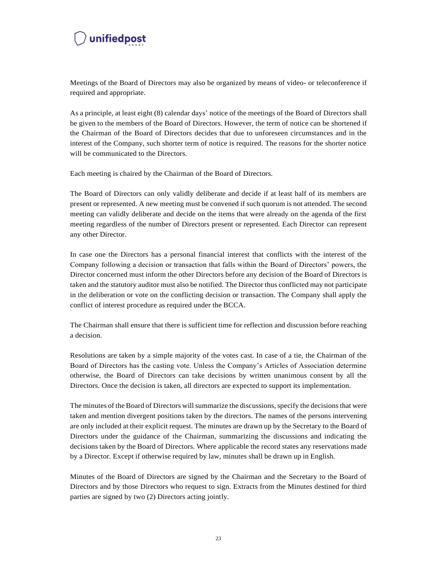Meetings of the Board of Directors may also be organized by means of video- or teleconference if required and appropriate.

As a principle, at least eight (8) calendar days' notice of the meetings of the Board of Directors shall be given to the members of the Board of Directors. However, the term of notice can be shortened if the Chairman of the Board of Directors decides that due to unforeseen circumstances and in the interest of the Company, such shorter term of notice is required. The reasons for the shorter notice will be communicated to the Directors.

Each meeting is chaired by the Chairman of the Board of Directors.

The Board of Directors can only validly deliberate and decide if at least half of its members are present or represented. A new meeting must be convened if such quorum is not attended. The second meeting can validly deliberate and decide on the items that were already on the agenda of the first meeting regardless of the number of Directors present or represented. Each Director can represent any other Director.

In case one the Directors has a personal financial interest that conflicts with the interest of the Company following a decision or transaction that falls within the Board of Directors' powers, the Director concerned must inform the other Directors before any decision of the Board of Directors is taken and the statutory auditor must also be notified. The Director thus conflicted may not participate in the deliberation or vote on the conflicting decision or transaction. The Company shall apply the conflict of interest procedure as required under the BCCA.

The Chairman shall ensure that there is sufficient time for reflection and discussion before reaching a decision.

Resolutions are taken by a simple majority of the votes cast. In case of a tie, the Chairman of the Board of Directors has the casting vote. Unless the Company's Articles of Association determine otherwise, the Board of Directors can take decisions by written unanimous consent by all the Directors. Once the decision is taken, all directors are expected to support its implementation.

The minutes of the Board of Directors will summarize the discussions, specify the decisions that were taken and mention divergent positions taken by the directors. The names of the persons intervening are only included at their explicit request. The minutes are drawn up by the Secretary to the Board of Directors under the guidance of the Chairman, summarizing the discussions and indicating the decisions taken by the Board of Directors. Where applicable the record states any reservations made by a Director. Except if otherwise required by law, minutes shall be drawn up in English.

Minutes of the Board of Directors are signed by the Chairman and the Secretary to the Board of Directors and by those Directors who request to sign. Extracts from the Minutes destined for third parties are signed by two (2) Directors acting jointly.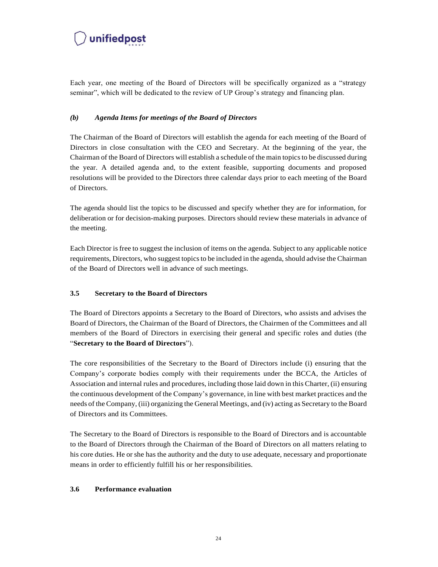

Each year, one meeting of the Board of Directors will be specifically organized as a "strategy seminar", which will be dedicated to the review of UP Group's strategy and financing plan.

#### <span id="page-23-0"></span>*(b) Agenda Items for meetings of the Board of Directors*

The Chairman of the Board of Directors will establish the agenda for each meeting of the Board of Directors in close consultation with the CEO and Secretary. At the beginning of the year, the Chairman of the Board of Directors will establish a schedule of the main topicsto be discussed during the year. A detailed agenda and, to the extent feasible, supporting documents and proposed resolutions will be provided to the Directors three calendar days prior to each meeting of the Board of Directors.

The agenda should list the topics to be discussed and specify whether they are for information, for deliberation or for decision-making purposes. Directors should review these materials in advance of the meeting.

Each Director is free to suggest the inclusion of items on the agenda. Subject to any applicable notice requirements, Directors, who suggest topicsto be included in the agenda, should advise the Chairman of the Board of Directors well in advance of such meetings.

#### <span id="page-23-1"></span>**3.5 Secretary to the Board of Directors**

The Board of Directors appoints a Secretary to the Board of Directors, who assists and advises the Board of Directors, the Chairman of the Board of Directors, the Chairmen of the Committees and all members of the Board of Directors in exercising their general and specific roles and duties (the "**Secretary to the Board of Directors**").

The core responsibilities of the Secretary to the Board of Directors include (i) ensuring that the Company's corporate bodies comply with their requirements under the BCCA, the Articles of Association and internal rules and procedures, including those laid down in this Charter, (ii) ensuring the continuous development of the Company's governance, in line with best market practices and the needs of the Company, (iii) organizing the General Meetings, and (iv) acting as Secretary to the Board of Directors and its Committees.

The Secretary to the Board of Directors is responsible to the Board of Directors and is accountable to the Board of Directors through the Chairman of the Board of Directors on all matters relating to his core duties. He or she has the authority and the duty to use adequate, necessary and proportionate means in order to efficiently fulfill his or her responsibilities.

#### <span id="page-23-2"></span>**3.6 Performance evaluation**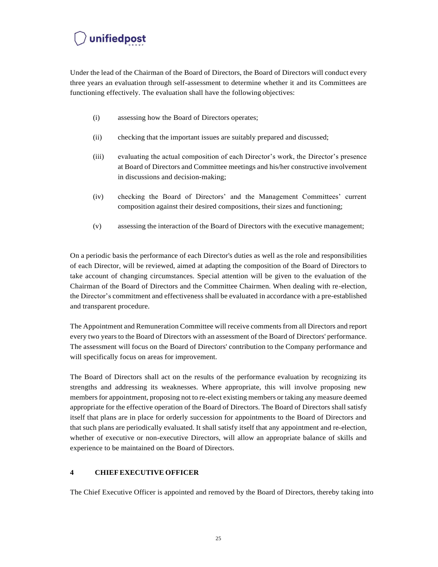Under the lead of the Chairman of the Board of Directors, the Board of Directors will conduct every three years an evaluation through self-assessment to determine whether it and its Committees are functioning effectively. The evaluation shall have the following objectives:

- (i) assessing how the Board of Directors operates;
- (ii) checking that the important issues are suitably prepared and discussed;
- (iii) evaluating the actual composition of each Director's work, the Director's presence at Board of Directors and Committee meetings and his/her constructive involvement in discussions and decision-making;
- (iv) checking the Board of Directors' and the Management Committees' current composition against their desired compositions, their sizes and functioning;
- (v) assessing the interaction of the Board of Directors with the executive management;

On a periodic basis the performance of each Director's duties as well as the role and responsibilities of each Director, will be reviewed, aimed at adapting the composition of the Board of Directors to take account of changing circumstances. Special attention will be given to the evaluation of the Chairman of the Board of Directors and the Committee Chairmen. When dealing with re-election, the Director's commitment and effectiveness shall be evaluated in accordance with a pre-established and transparent procedure.

The Appointment and Remuneration Committee will receive commentsfrom all Directors and report every two years to the Board of Directors with an assessment of the Board of Directors' performance. The assessment will focus on the Board of Directors' contribution to the Company performance and will specifically focus on areas for improvement.

The Board of Directors shall act on the results of the performance evaluation by recognizing its strengths and addressing its weaknesses. Where appropriate, this will involve proposing new members for appointment, proposing not to re-elect existing members or taking any measure deemed appropriate for the effective operation of the Board of Directors. The Board of Directors shall satisfy itself that plans are in place for orderly succession for appointments to the Board of Directors and that such plans are periodically evaluated. It shall satisfy itself that any appointment and re-election, whether of executive or non-executive Directors, will allow an appropriate balance of skills and experience to be maintained on the Board of Directors.

#### <span id="page-24-0"></span>**4 CHIEFEXECUTIVE OFFICER**

The Chief Executive Officer is appointed and removed by the Board of Directors, thereby taking into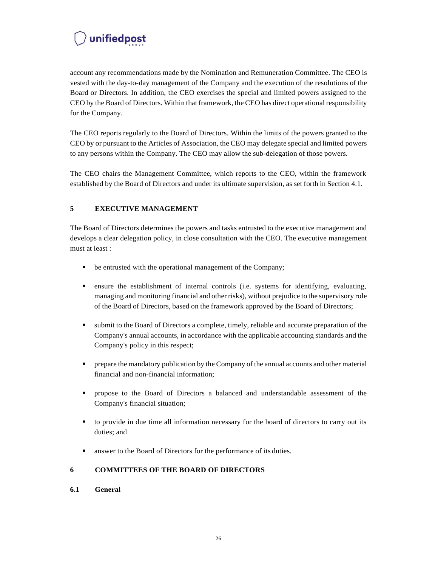account any recommendations made by the Nomination and Remuneration Committee. The CEO is vested with the day-to-day management of the Company and the execution of the resolutions of the Board or Directors. In addition, the CEO exercises the special and limited powers assigned to the CEO by the Board of Directors. Within that framework, the CEO has direct operational responsibility for the Company.

The CEO reports regularly to the Board of Directors. Within the limits of the powers granted to the CEO by or pursuant to the Articles of Association, the CEO may delegate special and limited powers to any persons within the Company. The CEO may allow the sub-delegation of those powers.

The CEO chairs the Management Committee, which reports to the CEO, within the framework established by the Board of Directors and under its ultimate supervision, as set forth in Section 4.1.

#### <span id="page-25-0"></span>**5 EXECUTIVE MANAGEMENT**

The Board of Directors determines the powers and tasks entrusted to the executive management and develops a clear delegation policy, in close consultation with the CEO. The executive management must at least :

- be entrusted with the operational management of the Company;
- ensure the establishment of internal controls (i.e. systems for identifying, evaluating, managing and monitoring financial and other risks), without prejudice to the supervisory role of the Board of Directors, based on the framework approved by the Board of Directors;
- submit to the Board of Directors a complete, timely, reliable and accurate preparation of the Company's annual accounts, in accordance with the applicable accounting standards and the Company's policy in this respect;
- **•** prepare the mandatory publication by the Company of the annual accounts and other material financial and non-financial information;
- propose to the Board of Directors a balanced and understandable assessment of the Company's financial situation;
- to provide in due time all information necessary for the board of directors to carry out its duties; and
- answer to the Board of Directors for the performance of its duties.

#### <span id="page-25-1"></span>**6 COMMITTEES OF THE BOARD OF DIRECTORS**

#### <span id="page-25-2"></span>**6.1 General**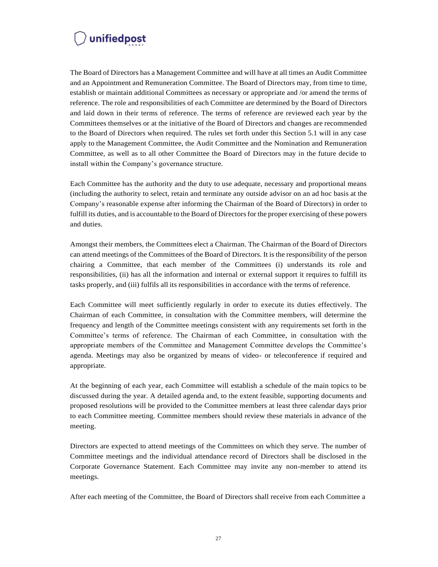The Board of Directors has a Management Committee and will have at all times an Audit Committee and an Appointment and Remuneration Committee. The Board of Directors may, from time to time, establish or maintain additional Committees as necessary or appropriate and /or amend the terms of reference. The role and responsibilities of each Committee are determined by the Board of Directors and laid down in their terms of reference. The terms of reference are reviewed each year by the Committees themselves or at the initiative of the Board of Directors and changes are recommended to the Board of Directors when required. The rules set forth under this Section 5.1 will in any case apply to the Management Committee, the Audit Committee and the Nomination and Remuneration Committee, as well as to all other Committee the Board of Directors may in the future decide to install within the Company's governance structure.

Each Committee has the authority and the duty to use adequate, necessary and proportional means (including the authority to select, retain and terminate any outside advisor on an ad hoc basis at the Company's reasonable expense after informing the Chairman of the Board of Directors) in order to fulfill its duties, and is accountable to the Board of Directors for the proper exercising of these powers and duties.

Amongst their members, the Committees elect a Chairman. The Chairman of the Board of Directors can attend meetings of the Committees of the Board of Directors. It is the responsibility of the person chairing a Committee, that each member of the Committees (i) understands its role and responsibilities, (ii) has all the information and internal or external support it requires to fulfill its tasks properly, and (iii) fulfils all its responsibilities in accordance with the terms of reference.

Each Committee will meet sufficiently regularly in order to execute its duties effectively. The Chairman of each Committee, in consultation with the Committee members, will determine the frequency and length of the Committee meetings consistent with any requirements set forth in the Committee's terms of reference. The Chairman of each Committee, in consultation with the appropriate members of the Committee and Management Committee develops the Committee's agenda. Meetings may also be organized by means of video- or teleconference if required and appropriate.

At the beginning of each year, each Committee will establish a schedule of the main topics to be discussed during the year. A detailed agenda and, to the extent feasible, supporting documents and proposed resolutions will be provided to the Committee members at least three calendar days prior to each Committee meeting. Committee members should review these materials in advance of the meeting.

Directors are expected to attend meetings of the Committees on which they serve. The number of Committee meetings and the individual attendance record of Directors shall be disclosed in the Corporate Governance Statement. Each Committee may invite any non-member to attend its meetings.

After each meeting of the Committee, the Board of Directors shall receive from each Committee a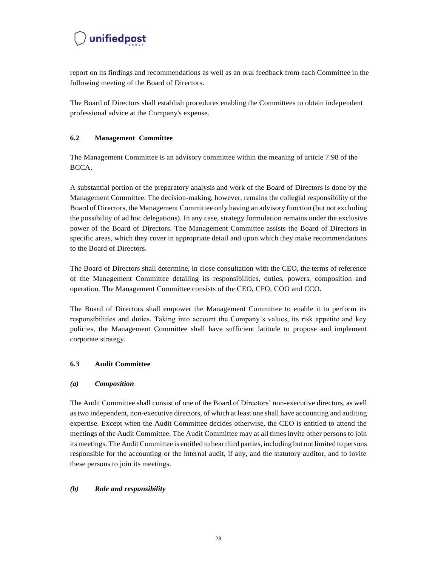report on its findings and recommendations as well as an oral feedback from each Committee in the following meeting of the Board of Directors.

The Board of Directors shall establish procedures enabling the Committees to obtain independent professional advice at the Company's expense.

#### <span id="page-27-0"></span>**6.2 Management Committee**

The Management Committee is an advisory committee within the meaning of article 7:98 of the BCCA.

A substantial portion of the preparatory analysis and work of the Board of Directors is done by the Management Committee. The decision-making, however, remains the collegial responsibility of the Board of Directors, the Management Committee only having an advisory function (but not excluding the possibility of ad hoc delegations). In any case, strategy formulation remains under the exclusive power of the Board of Directors. The Management Committee assists the Board of Directors in specific areas, which they cover in appropriate detail and upon which they make recommendations to the Board of Directors.

The Board of Directors shall determine, in close consultation with the CEO, the terms of reference of the Management Committee detailing its responsibilities, duties, powers, composition and operation. The Management Committee consists of the CEO, CFO, COO and CCO.

The Board of Directors shall empower the Management Committee to enable it to perform its responsibilities and duties. Taking into account the Company's values, its risk appetite and key policies, the Management Committee shall have sufficient latitude to propose and implement corporate strategy.

#### <span id="page-27-1"></span>**6.3 Audit Committee**

#### <span id="page-27-2"></span>*(a) Composition*

The Audit Committee shall consist of one of the Board of Directors' non-executive directors, as well astwo independent, non-executive directors, of which at least one shall have accounting and auditing expertise. Except when the Audit Committee decides otherwise, the CEO is entitled to attend the meetings of the Audit Committee. The Audit Committee may at all times invite other persons to join its meetings. The Audit Committee is entitled to hear third parties, including but not limited to persons responsible for the accounting or the internal audit, if any, and the statutory auditor, and to invite these persons to join its meetings.

#### <span id="page-27-3"></span>*(b) Role and responsibility*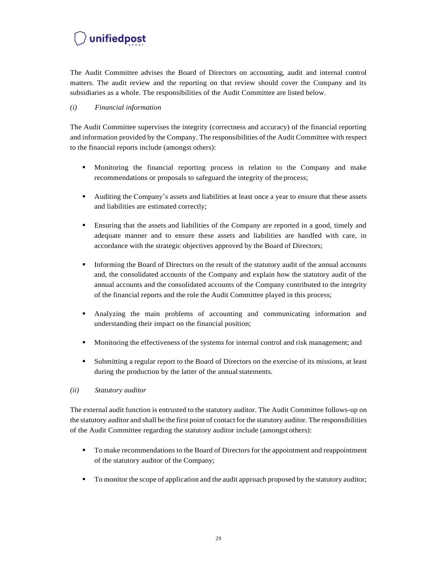The Audit Committee advises the Board of Directors on accounting, audit and internal control matters. The audit review and the reporting on that review should cover the Company and its subsidiaries as a whole. The responsibilities of the Audit Committee are listed below.

#### *(i) Financial information*

The Audit Committee supervises the integrity (correctness and accuracy) of the financial reporting and information provided by the Company. The responsibilities of the Audit Committee with respect to the financial reports include (amongst others):

- Monitoring the financial reporting process in relation to the Company and make recommendations or proposals to safeguard the integrity of the process;
- Auditing the Company's assets and liabilities at least once a year to ensure that these assets and liabilities are estimated correctly;
- Ensuring that the assets and liabilities of the Company are reported in a good, timely and adequate manner and to ensure these assets and liabilities are handled with care, in accordance with the strategic objectives approved by the Board of Directors;
- Informing the Board of Directors on the result of the statutory audit of the annual accounts and, the consolidated accounts of the Company and explain how the statutory audit of the annual accounts and the consolidated accounts of the Company contributed to the integrity of the financial reports and the role the Audit Committee played in this process;
- Analyzing the main problems of accounting and communicating information and understanding their impact on the financial position;
- Monitoring the effectiveness of the systems for internal control and risk management; and
- Submitting a regular report to the Board of Directors on the exercise of its missions, at least during the production by the latter of the annual statements.

#### *(ii) Statutory auditor*

The external audit function is entrusted to the statutory auditor. The Audit Committee follows-up on the statutory auditor and shall be the first point of contact for the statutory auditor. The responsibilities of the Audit Committee regarding the statutory auditor include (amongst others):

- To make recommendations to the Board of Directors for the appointment and reappointment of the statutory auditor of the Company;
- **•** To monitor the scope of application and the audit approach proposed by the statutory auditor;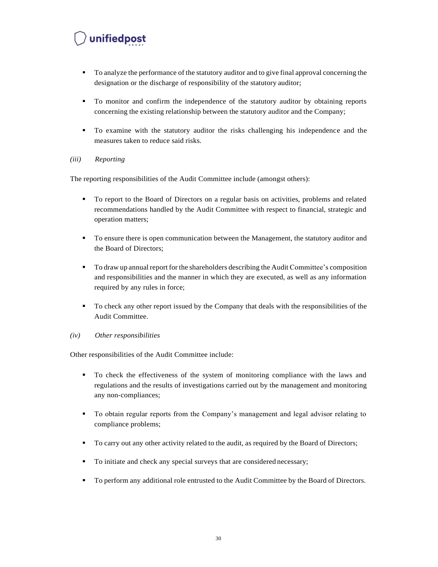- To analyze the performance of the statutory auditor and to give final approval concerning the designation or the discharge of responsibility of the statutory auditor;
- To monitor and confirm the independence of the statutory auditor by obtaining reports concerning the existing relationship between the statutory auditor and the Company;
- To examine with the statutory auditor the risks challenging his independence and the measures taken to reduce said risks.

#### *(iii) Reporting*

The reporting responsibilities of the Audit Committee include (amongst others):

- To report to the Board of Directors on a regular basis on activities, problems and related recommendations handled by the Audit Committee with respect to financial, strategic and operation matters;
- To ensure there is open communication between the Management, the statutory auditor and the Board of Directors;
- To draw up annual report for the shareholders describing the Audit Committee's composition and responsibilities and the manner in which they are executed, as well as any information required by any rules in force;
- To check any other report issued by the Company that deals with the responsibilities of the Audit Committee.

#### *(iv) Other responsibilities*

Other responsibilities of the Audit Committee include:

- To check the effectiveness of the system of monitoring compliance with the laws and regulations and the results of investigations carried out by the management and monitoring any non-compliances;
- To obtain regular reports from the Company's management and legal advisor relating to compliance problems;
- To carry out any other activity related to the audit, as required by the Board of Directors;
- To initiate and check any special surveys that are considered necessary;
- To perform any additional role entrusted to the Audit Committee by the Board of Directors.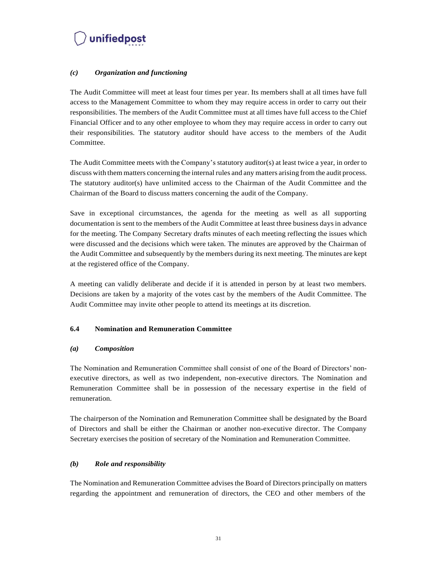#### <span id="page-30-0"></span>*(c) Organization and functioning*

The Audit Committee will meet at least four times per year. Its members shall at all times have full access to the Management Committee to whom they may require access in order to carry out their responsibilities. The members of the Audit Committee must at all times have full access to the Chief Financial Officer and to any other employee to whom they may require access in order to carry out their responsibilities. The statutory auditor should have access to the members of the Audit Committee.

The Audit Committee meets with the Company's statutory auditor(s) at least twice a year, in order to discuss with them matters concerning the internal rules and any matters arising from the audit process. The statutory auditor(s) have unlimited access to the Chairman of the Audit Committee and the Chairman of the Board to discuss matters concerning the audit of the Company.

Save in exceptional circumstances, the agenda for the meeting as well as all supporting documentation is sent to the members of the Audit Committee at least three business daysin advance for the meeting. The Company Secretary drafts minutes of each meeting reflecting the issues which were discussed and the decisions which were taken. The minutes are approved by the Chairman of the Audit Committee and subsequently by the members during its next meeting. The minutes are kept at the registered office of the Company.

A meeting can validly deliberate and decide if it is attended in person by at least two members. Decisions are taken by a majority of the votes cast by the members of the Audit Committee. The Audit Committee may invite other people to attend its meetings at its discretion.

#### <span id="page-30-1"></span>**6.4 Nomination and Remuneration Committee**

#### <span id="page-30-2"></span>*(a) Composition*

The Nomination and Remuneration Committee shall consist of one of the Board of Directors' nonexecutive directors, as well as two independent, non-executive directors. The Nomination and Remuneration Committee shall be in possession of the necessary expertise in the field of remuneration.

The chairperson of the Nomination and Remuneration Committee shall be designated by the Board of Directors and shall be either the Chairman or another non-executive director. The Company Secretary exercises the position of secretary of the Nomination and Remuneration Committee.

#### <span id="page-30-3"></span>*(b) Role and responsibility*

The Nomination and Remuneration Committee advises the Board of Directors principally on matters regarding the appointment and remuneration of directors, the CEO and other members of the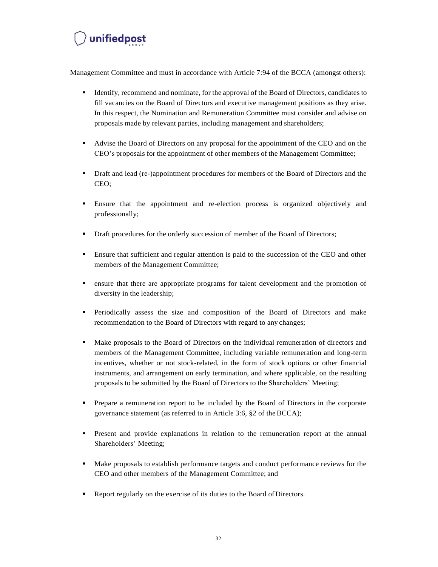Management Committee and must in accordance with Article 7:94 of the BCCA (amongst others):

- **Exercise 1** Identify, recommend and nominate, for the approval of the Board of Directors, candidates to fill vacancies on the Board of Directors and executive management positions as they arise. In this respect, the Nomination and Remuneration Committee must consider and advise on proposals made by relevant parties, including management and shareholders;
- Advise the Board of Directors on any proposal for the appointment of the CEO and on the CEO's proposals for the appointment of other members of the Management Committee;
- Draft and lead (re-)appointment procedures for members of the Board of Directors and the CEO;
- Ensure that the appointment and re-election process is organized objectively and professionally;
- **•** Draft procedures for the orderly succession of member of the Board of Directors;
- Ensure that sufficient and regular attention is paid to the succession of the CEO and other members of the Management Committee;
- ensure that there are appropriate programs for talent development and the promotion of diversity in the leadership;
- Periodically assess the size and composition of the Board of Directors and make recommendation to the Board of Directors with regard to any changes;
- Make proposals to the Board of Directors on the individual remuneration of directors and members of the Management Committee, including variable remuneration and long-term incentives, whether or not stock-related, in the form of stock options or other financial instruments, and arrangement on early termination, and where applicable, on the resulting proposals to be submitted by the Board of Directors to the Shareholders' Meeting;
- Prepare a remuneration report to be included by the Board of Directors in the corporate governance statement (as referred to in Article 3:6, §2 of theBCCA);
- **•** Present and provide explanations in relation to the remuneration report at the annual Shareholders' Meeting;
- **■** Make proposals to establish performance targets and conduct performance reviews for the CEO and other members of the Management Committee; and
- Report regularly on the exercise of its duties to the Board of Directors.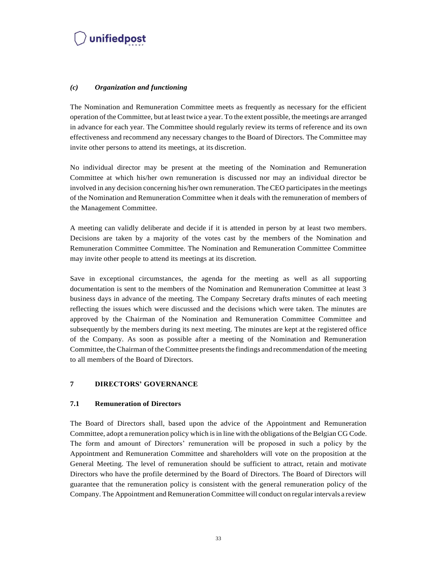#### <span id="page-32-0"></span>*(c) Organization and functioning*

The Nomination and Remuneration Committee meets as frequently as necessary for the efficient operation of the Committee, but at least twice a year. To the extent possible, the meetings are arranged in advance for each year. The Committee should regularly review its terms of reference and its own effectiveness and recommend any necessary changes to the Board of Directors. The Committee may invite other persons to attend its meetings, at its discretion.

No individual director may be present at the meeting of the Nomination and Remuneration Committee at which his/her own remuneration is discussed nor may an individual director be involved in any decision concerning his/her own remuneration. The CEO participatesin the meetings of the Nomination and Remuneration Committee when it deals with the remuneration of members of the Management Committee.

A meeting can validly deliberate and decide if it is attended in person by at least two members. Decisions are taken by a majority of the votes cast by the members of the Nomination and Remuneration Committee Committee. The Nomination and Remuneration Committee Committee may invite other people to attend its meetings at its discretion.

Save in exceptional circumstances, the agenda for the meeting as well as all supporting documentation is sent to the members of the Nomination and Remuneration Committee at least 3 business days in advance of the meeting. The Company Secretary drafts minutes of each meeting reflecting the issues which were discussed and the decisions which were taken. The minutes are approved by the Chairman of the Nomination and Remuneration Committee Committee and subsequently by the members during its next meeting. The minutes are kept at the registered office of the Company. As soon as possible after a meeting of the Nomination and Remuneration Committee, the Chairman of the Committee presents the findings and recommendation of the meeting to all members of the Board of Directors.

#### <span id="page-32-1"></span>**7 DIRECTORS' GOVERNANCE**

#### <span id="page-32-2"></span>**7.1 Remuneration of Directors**

The Board of Directors shall, based upon the advice of the Appointment and Remuneration Committee, adopt a remuneration policy which isin line with the obligations of the Belgian CG Code. The form and amount of Directors' remuneration will be proposed in such a policy by the Appointment and Remuneration Committee and shareholders will vote on the proposition at the General Meeting. The level of remuneration should be sufficient to attract, retain and motivate Directors who have the profile determined by the Board of Directors. The Board of Directors will guarantee that the remuneration policy is consistent with the general remuneration policy of the Company. The Appointment and Remuneration Committee will conduct on regularintervals a review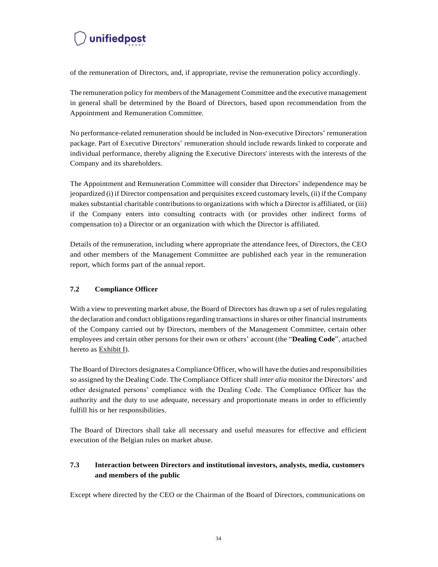of the remuneration of Directors, and, if appropriate, revise the remuneration policy accordingly.

The remuneration policy for members of the Management Committee and the executive management in general shall be determined by the Board of Directors, based upon recommendation from the Appointment and Remuneration Committee.

No performance-related remuneration should be included in Non-executive Directors' remuneration package. Part of Executive Directors' remuneration should include rewards linked to corporate and individual performance, thereby aligning the Executive Directors' interests with the interests of the Company and its shareholders.

The Appointment and Remuneration Committee will consider that Directors' independence may be jeopardized (i) if Director compensation and perquisites exceed customary levels, (ii) if the Company makes substantial charitable contributionsto organizations with which a Director is affiliated, or (iii) if the Company enters into consulting contracts with (or provides other indirect forms of compensation to) a Director or an organization with which the Director is affiliated.

Details of the remuneration, including where appropriate the attendance fees, of Directors, the CEO and other members of the Management Committee are published each year in the remuneration report, which forms part of the annual report.

#### <span id="page-33-0"></span>**7.2 Compliance Officer**

With a view to preventing market abuse, the Board of Directors has drawn up a set of rules regulating the declaration and conduct obligations regarding transactions in shares or other financial instruments of the Company carried out by Directors, members of the Management Committee, certain other employees and certain other persons for their own or others' account (the "**Dealing Code**", attached hereto as Exhibit I).

The Board of Directors designates a Compliance Officer, who will have the duties and responsibilities so assigned by the Dealing Code. The Compliance Officer shall *inter alia* monitor the Directors' and other designated persons' compliance with the Dealing Code. The Compliance Officer has the authority and the duty to use adequate, necessary and proportionate means in order to efficiently fulfill his or her responsibilities.

The Board of Directors shall take all necessary and useful measures for effective and efficient execution of the Belgian rules on market abuse.

#### <span id="page-33-1"></span>**7.3 Interaction between Directors and institutional investors, analysts, media, customers and members of the public**

Except where directed by the CEO or the Chairman of the Board of Directors, communications on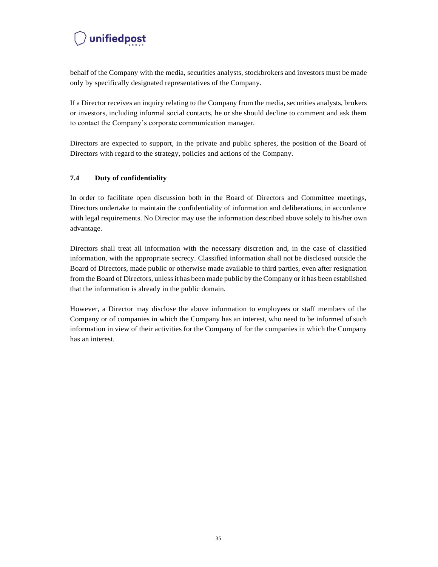behalf of the Company with the media, securities analysts, stockbrokers and investors must be made only by specifically designated representatives of the Company.

If a Director receives an inquiry relating to the Company from the media, securities analysts, brokers or investors, including informal social contacts, he or she should decline to comment and ask them to contact the Company's corporate communication manager.

Directors are expected to support, in the private and public spheres, the position of the Board of Directors with regard to the strategy, policies and actions of the Company.

#### <span id="page-34-0"></span>**7.4 Duty of confidentiality**

In order to facilitate open discussion both in the Board of Directors and Committee meetings, Directors undertake to maintain the confidentiality of information and deliberations, in accordance with legal requirements. No Director may use the information described above solely to his/her own advantage.

Directors shall treat all information with the necessary discretion and, in the case of classified information, with the appropriate secrecy. Classified information shall not be disclosed outside the Board of Directors, made public or otherwise made available to third parties, even after resignation from the Board of Directors, unlessit has been made public by the Company or it has been established that the information is already in the public domain.

However, a Director may disclose the above information to employees or staff members of the Company or of companies in which the Company has an interest, who need to be informed of such information in view of their activities for the Company of for the companies in which the Company has an interest.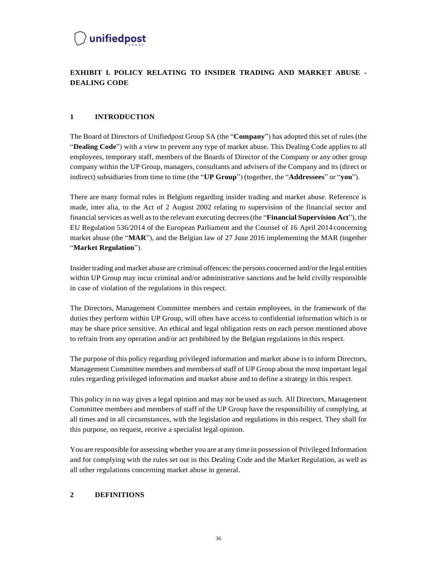

#### <span id="page-35-0"></span>**EXHIBIT I. POLICY RELATING TO INSIDER TRADING AND MARKET ABUSE - DEALING CODE**

#### <span id="page-35-1"></span>**1 INTRODUCTION**

The Board of Directors of Unifiedpost Group SA (the "**Company**") has adopted this set of rules (the "**Dealing Code**") with a view to prevent any type of market abuse. This Dealing Code applies to all employees, temporary staff, members of the Boards of Director of the Company or any other group company within the UP Group, managers, consultants and advisers of the Company and its (direct or indirect) subsidiaries from time to time (the "**UP Group**") (together, the "**Addressees**" or "**you**").

There are many formal rules in Belgium regarding insider trading and market abuse. Reference is made, inter alia, to the Act of 2 August 2002 relating to supervision of the financial sector and financial services as well asto the relevant executing decrees(the "**Financial Supervision Act**"), the EU Regulation 536/2014 of the European Parliament and the Counsel of 16 April 2014 concerning market abuse (the "**MAR**"), and the Belgian law of 27 June 2016 implementing the MAR (together "**Market Regulation**").

Insider trading and market abuse are criminal offences: the persons concerned and/or the legal entities within UP Group may incur criminal and/or administrative sanctions and be held civilly responsible in case of violation of the regulations in this respect.

The Directors, Management Committee members and certain employees, in the framework of the duties they perform within UP Group, will often have access to confidential information which is or may be share price sensitive. An ethical and legal obligation rests on each person mentioned above to refrain from any operation and/or act prohibited by the Belgian regulations in this respect.

The purpose of this policy regarding privileged information and market abuse is to inform Directors, Management Committee members and members of staff of UP Group about the most important legal rules regarding privileged information and market abuse and to define a strategy in this respect.

This policy in no way gives a legal opinion and may not be used as such. All Directors, Management Committee members and members of staff of the UP Group have the responsibility of complying, at all times and in all circumstances, with the legislation and regulations in this respect. They shall for this purpose, on request, receive a specialist legal opinion.

You are responsible for assessing whether you are at any time in possession of Privileged Information and for complying with the rules set out in this Dealing Code and the Market Regulation, as well as all other regulations concerning market abuse in general.

#### <span id="page-35-2"></span>**2 DEFINITIONS**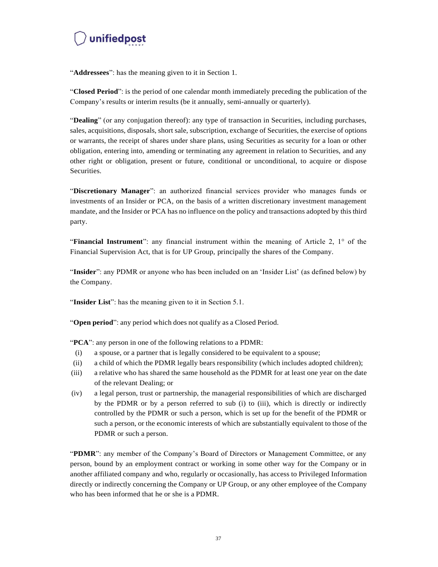"**Addressees**": has the meaning given to it in Section 1.

"**Closed Period**": is the period of one calendar month immediately preceding the publication of the Company's results or interim results (be it annually, semi-annually or quarterly).

"**Dealing**" (or any conjugation thereof): any type of transaction in Securities, including purchases, sales, acquisitions, disposals, short sale, subscription, exchange of Securities, the exercise of options or warrants, the receipt of shares under share plans, using Securities as security for a loan or other obligation, entering into, amending or terminating any agreement in relation to Securities, and any other right or obligation, present or future, conditional or unconditional, to acquire or dispose Securities.

"**Discretionary Manager**": an authorized financial services provider who manages funds or investments of an Insider or PCA, on the basis of a written discretionary investment management mandate, and the Insider or PCA has no influence on the policy and transactions adopted by this third party.

"**Financial Instrument**": any financial instrument within the meaning of Article 2, 1° of the Financial Supervision Act, that is for UP Group, principally the shares of the Company.

"**Insider**": any PDMR or anyone who has been included on an 'Insider List' (as defined below) by the Company.

"**Insider List**": has the meaning given to it in Section 5.1.

"**Open period**": any period which does not qualify as a Closed Period.

"**PCA**": any person in one of the following relations to a PDMR:

- (i) a spouse, or a partner that is legally considered to be equivalent to a spouse;
- (ii) a child of which the PDMR legally bears responsibility (which includes adopted children);
- (iii) a relative who has shared the same household as the PDMR for at least one year on the date of the relevant Dealing; or
- (iv) a legal person, trust or partnership, the managerial responsibilities of which are discharged by the PDMR or by a person referred to sub (i) to (iii), which is directly or indirectly controlled by the PDMR or such a person, which is set up for the benefit of the PDMR or such a person, or the economic interests of which are substantially equivalent to those of the PDMR or such a person.

"**PDMR**": any member of the Company's Board of Directors or Management Committee, or any person, bound by an employment contract or working in some other way for the Company or in another affiliated company and who, regularly or occasionally, has access to Privileged Information directly or indirectly concerning the Company or UP Group, or any other employee of the Company who has been informed that he or she is a PDMR.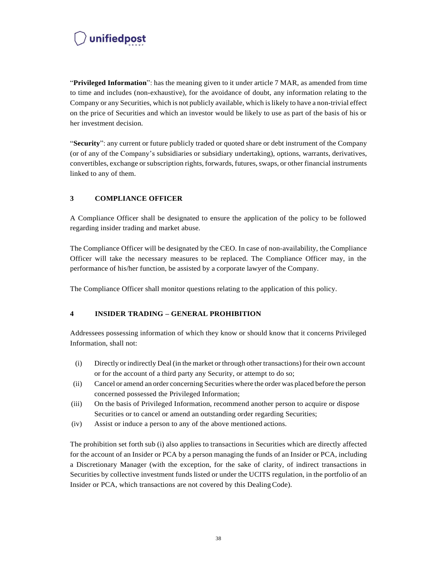"**Privileged Information**": has the meaning given to it under article 7 MAR, as amended from time to time and includes (non-exhaustive), for the avoidance of doubt, any information relating to the Company or any Securities, which is not publicly available, which islikely to have a non-trivial effect on the price of Securities and which an investor would be likely to use as part of the basis of his or her investment decision.

"**Security**": any current or future publicly traded or quoted share or debt instrument of the Company (or of any of the Company's subsidiaries or subsidiary undertaking), options, warrants, derivatives, convertibles, exchange or subscription rights, forwards, futures, swaps, or other financial instruments linked to any of them.

#### <span id="page-37-0"></span>**3 COMPLIANCE OFFICER**

A Compliance Officer shall be designated to ensure the application of the policy to be followed regarding insider trading and market abuse.

The Compliance Officer will be designated by the CEO. In case of non-availability, the Compliance Officer will take the necessary measures to be replaced. The Compliance Officer may, in the performance of his/her function, be assisted by a corporate lawyer of the Company.

The Compliance Officer shall monitor questions relating to the application of this policy.

#### <span id="page-37-1"></span>**4 INSIDER TRADING – GENERAL PROHIBITION**

Addressees possessing information of which they know or should know that it concerns Privileged Information, shall not:

- (i) Directly or indirectly Deal (in the market or through other transactions) for their own account or for the account of a third party any Security, or attempt to do so;
- (ii) Cancel or amend an order concerning Securities where the order was placed before the person concerned possessed the Privileged Information;
- (iii) On the basis of Privileged Information, recommend another person to acquire or dispose Securities or to cancel or amend an outstanding order regarding Securities;
- (iv) Assist or induce a person to any of the above mentioned actions.

The prohibition set forth sub (i) also applies to transactions in Securities which are directly affected for the account of an Insider or PCA by a person managing the funds of an Insider or PCA, including a Discretionary Manager (with the exception, for the sake of clarity, of indirect transactions in Securities by collective investment funds listed or under the UCITS regulation, in the portfolio of an Insider or PCA, which transactions are not covered by this DealingCode).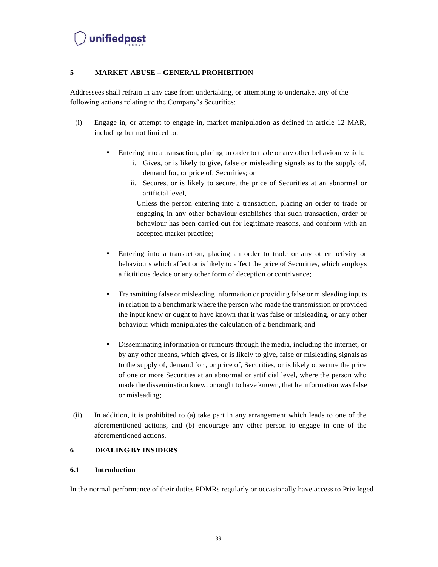#### <span id="page-38-0"></span>**5 MARKET ABUSE – GENERAL PROHIBITION**

Addressees shall refrain in any case from undertaking, or attempting to undertake, any of the following actions relating to the Company's Securities:

- (i) Engage in, or attempt to engage in, market manipulation as defined in article 12 MAR, including but not limited to:
	- **Entering into a transaction, placing an order to trade or any other behaviour which:** 
		- i. Gives, or is likely to give, false or misleading signals as to the supply of, demand for, or price of, Securities; or
		- ii. Secures, or is likely to secure, the price of Securities at an abnormal or artificial level,

Unless the person entering into a transaction, placing an order to trade or engaging in any other behaviour establishes that such transaction, order or behaviour has been carried out for legitimate reasons, and conform with an accepted market practice;

- Entering into a transaction, placing an order to trade or any other activity or behaviours which affect or is likely to affect the price of Securities, which employs a fictitious device or any other form of deception or contrivance;
- Transmitting false or misleading information or providing false or misleading inputs in relation to a benchmark where the person who made the transmission or provided the input knew or ought to have known that it was false or misleading, or any other behaviour which manipulates the calculation of a benchmark; and
- Disseminating information or rumours through the media, including the internet, or by any other means, which gives, or is likely to give, false or misleading signals as to the supply of, demand for , or price of, Securities, or is likely ot secure the price of one or more Securities at an abnormal or artificial level, where the person who made the dissemination knew, or ought to have known, that he information was false or misleading;
- (ii) In addition, it is prohibited to (a) take part in any arrangement which leads to one of the aforementioned actions, and (b) encourage any other person to engage in one of the aforementioned actions.

#### <span id="page-38-1"></span>**6 DEALING BY INSIDERS**

#### <span id="page-38-2"></span>**6.1 Introduction**

In the normal performance of their duties PDMRs regularly or occasionally have access to Privileged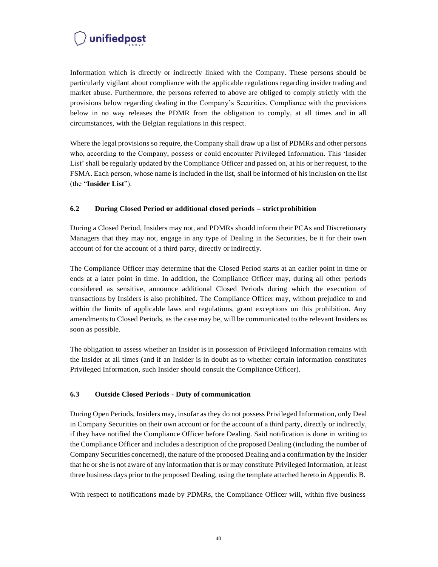Information which is directly or indirectly linked with the Company. These persons should be particularly vigilant about compliance with the applicable regulations regarding insider trading and market abuse. Furthermore, the persons referred to above are obliged to comply strictly with the provisions below regarding dealing in the Company's Securities. Compliance with the provisions below in no way releases the PDMR from the obligation to comply, at all times and in all circumstances, with the Belgian regulations in this respect.

Where the legal provisions so require, the Company shall draw up a list of PDMRs and other persons who, according to the Company, possess or could encounter Privileged Information. This 'Insider List' shall be regularly updated by the Compliance Officer and passed on, at his or her request, to the FSMA. Each person, whose name is included in the list, shall be informed of his inclusion on the list (the "**Insider List**").

#### <span id="page-39-0"></span>**6.2 During Closed Period or additional closed periods – strict prohibition**

During a Closed Period, Insiders may not, and PDMRs should inform their PCAs and Discretionary Managers that they may not, engage in any type of Dealing in the Securities, be it for their own account of for the account of a third party, directly or indirectly.

The Compliance Officer may determine that the Closed Period starts at an earlier point in time or ends at a later point in time. In addition, the Compliance Officer may, during all other periods considered as sensitive, announce additional Closed Periods during which the execution of transactions by Insiders is also prohibited. The Compliance Officer may, without prejudice to and within the limits of applicable laws and regulations, grant exceptions on this prohibition. Any amendments to Closed Periods, as the case may be, will be communicated to the relevant Insiders as soon as possible.

The obligation to assess whether an Insider is in possession of Privileged Information remains with the Insider at all times (and if an Insider is in doubt as to whether certain information constitutes Privileged Information, such Insider should consult the Compliance Officer).

#### <span id="page-39-1"></span>**6.3 Outside Closed Periods - Duty of communication**

During Open Periods, Insiders may, insofar as they do not possess Privileged Information, only Deal in Company Securities on their own account or for the account of a third party, directly or indirectly, if they have notified the Compliance Officer before Dealing. Said notification is done in writing to the Compliance Officer and includes a description of the proposed Dealing (including the number of Company Securities concerned), the nature of the proposed Dealing and a confirmation by the Insider that he or she is not aware of any information that is or may constitute Privileged Information, at least three business days prior to the proposed Dealing, using the template attached hereto in Appendix B.

With respect to notifications made by PDMRs, the Compliance Officer will, within five business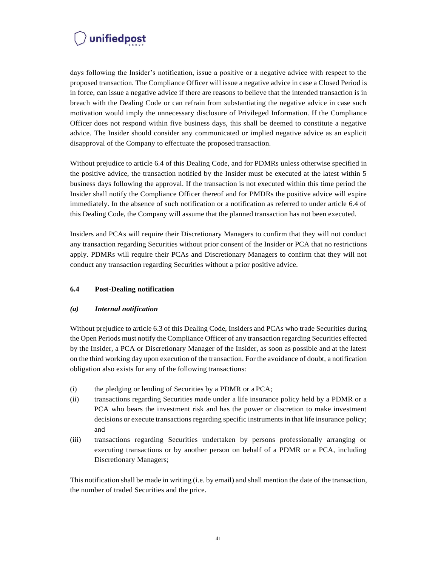days following the Insider's notification, issue a positive or a negative advice with respect to the proposed transaction. The Compliance Officer will issue a negative advice in case a Closed Period is in force, can issue a negative advice if there are reasons to believe that the intended transaction is in breach with the Dealing Code or can refrain from substantiating the negative advice in case such motivation would imply the unnecessary disclosure of Privileged Information. If the Compliance Officer does not respond within five business days, this shall be deemed to constitute a negative advice. The Insider should consider any communicated or implied negative advice as an explicit disapproval of the Company to effectuate the proposed transaction.

Without prejudice to article 6.4 of this Dealing Code, and for PDMRs unless otherwise specified in the positive advice, the transaction notified by the Insider must be executed at the latest within 5 business days following the approval. If the transaction is not executed within this time period the Insider shall notify the Compliance Officer thereof and for PMDRs the positive advice will expire immediately. In the absence of such notification or a notification as referred to under article 6.4 of this Dealing Code, the Company will assume that the planned transaction has not been executed.

Insiders and PCAs will require their Discretionary Managers to confirm that they will not conduct any transaction regarding Securities without prior consent of the Insider or PCA that no restrictions apply. PDMRs will require their PCAs and Discretionary Managers to confirm that they will not conduct any transaction regarding Securities without a prior positive advice.

#### <span id="page-40-0"></span>**6.4 Post-Dealing notification**

#### <span id="page-40-1"></span>*(a) Internal notification*

Without prejudice to article 6.3 of this Dealing Code, Insiders and PCAs who trade Securities during the Open Periods must notify the Compliance Officer of any transaction regarding Securities effected by the Insider, a PCA or Discretionary Manager of the Insider, as soon as possible and at the latest on the third working day upon execution of the transaction. For the avoidance of doubt, a notification obligation also exists for any of the following transactions:

- (i) the pledging or lending of Securities by a PDMR or a PCA;
- (ii) transactions regarding Securities made under a life insurance policy held by a PDMR or a PCA who bears the investment risk and has the power or discretion to make investment decisions or execute transactions regarding specific instruments in that life insurance policy; and
- (iii) transactions regarding Securities undertaken by persons professionally arranging or executing transactions or by another person on behalf of a PDMR or a PCA, including Discretionary Managers;

This notification shall be made in writing (i.e. by email) and shall mention the date of the transaction, the number of traded Securities and the price.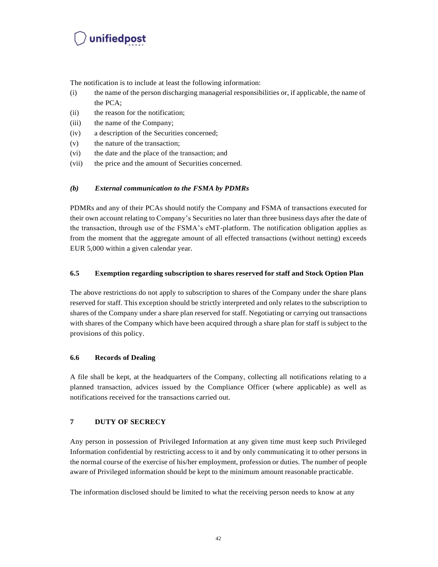The notification is to include at least the following information:

- (i) the name of the person discharging managerial responsibilities or, if applicable, the name of the PCA;
- (ii) the reason for the notification;
- (iii) the name of the Company;
- (iv) a description of the Securities concerned;
- (v) the nature of the transaction;
- (vi) the date and the place of the transaction; and
- (vii) the price and the amount of Securities concerned.

#### <span id="page-41-0"></span>*(b) External communication to the FSMA by PDMRs*

PDMRs and any of their PCAs should notify the Company and FSMA of transactions executed for their own account relating to Company's Securities no later than three business days after the date of the transaction, through use of the FSMA's eMT-platform. The notification obligation applies as from the moment that the aggregate amount of all effected transactions (without netting) exceeds EUR 5,000 within a given calendar year.

#### <span id="page-41-1"></span>**6.5 Exemption regarding subscription to shares reserved for staff and Stock Option Plan**

The above restrictions do not apply to subscription to shares of the Company under the share plans reserved for staff. This exception should be strictly interpreted and only relates to the subscription to shares of the Company under a share plan reserved for staff. Negotiating or carrying out transactions with shares of the Company which have been acquired through a share plan for staff is subject to the provisions of this policy.

#### <span id="page-41-2"></span>**6.6 Records of Dealing**

A file shall be kept, at the headquarters of the Company, collecting all notifications relating to a planned transaction, advices issued by the Compliance Officer (where applicable) as well as notifications received for the transactions carried out.

#### <span id="page-41-3"></span>**7 DUTY OF SECRECY**

Any person in possession of Privileged Information at any given time must keep such Privileged Information confidential by restricting access to it and by only communicating it to other persons in the normal course of the exercise of his/her employment, profession or duties. The number of people aware of Privileged information should be kept to the minimum amount reasonable practicable.

The information disclosed should be limited to what the receiving person needs to know at any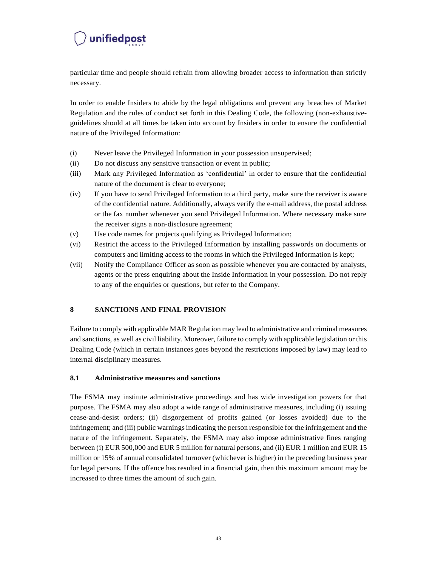particular time and people should refrain from allowing broader access to information than strictly necessary.

In order to enable Insiders to abide by the legal obligations and prevent any breaches of Market Regulation and the rules of conduct set forth in this Dealing Code, the following (non-exhaustiveguidelines should at all times be taken into account by Insiders in order to ensure the confidential nature of the Privileged Information:

- (i) Never leave the Privileged Information in your possession unsupervised;
- (ii) Do not discuss any sensitive transaction or event in public;
- (iii) Mark any Privileged Information as 'confidential' in order to ensure that the confidential nature of the document is clear to everyone;
- (iv) If you have to send Privileged Information to a third party, make sure the receiver is aware of the confidential nature. Additionally, always verify the e-mail address, the postal address or the fax number whenever you send Privileged Information. Where necessary make sure the receiver signs a non-disclosure agreement;
- (v) Use code names for projects qualifying as Privileged Information;
- (vi) Restrict the access to the Privileged Information by installing passwords on documents or computers and limiting access to the rooms in which the Privileged Information is kept;
- (vii) Notify the Compliance Officer as soon as possible whenever you are contacted by analysts, agents or the press enquiring about the Inside Information in your possession. Do not reply to any of the enquiries or questions, but refer to the Company.

#### <span id="page-42-0"></span>**8 SANCTIONS AND FINAL PROVISION**

Failure to comply with applicable MAR Regulation may lead to administrative and criminal measures and sanctions, as well as civil liability. Moreover, failure to comply with applicable legislation or this Dealing Code (which in certain instances goes beyond the restrictions imposed by law) may lead to internal disciplinary measures.

#### <span id="page-42-1"></span>**8.1 Administrative measures and sanctions**

The FSMA may institute administrative proceedings and has wide investigation powers for that purpose. The FSMA may also adopt a wide range of administrative measures, including (i) issuing cease-and-desist orders; (ii) disgorgement of profits gained (or losses avoided) due to the infringement; and (iii) public warningsindicating the person responsible for the infringement and the nature of the infringement. Separately, the FSMA may also impose administrative fines ranging between (i) EUR 500,000 and EUR 5 million for natural persons, and (ii) EUR 1 million and EUR 15 million or 15% of annual consolidated turnover (whichever is higher) in the preceding business year for legal persons. If the offence has resulted in a financial gain, then this maximum amount may be increased to three times the amount of such gain.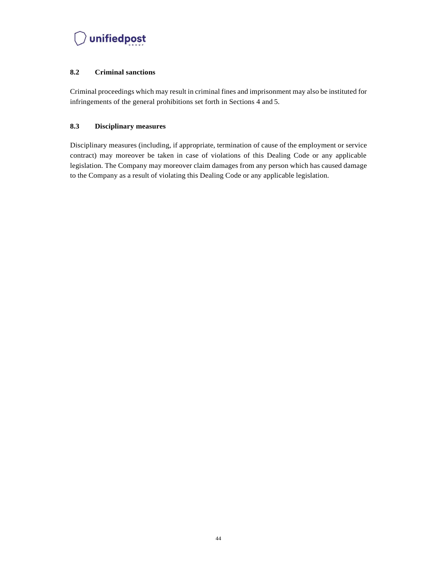

#### <span id="page-43-0"></span>**8.2 Criminal sanctions**

Criminal proceedings which may result in criminal fines and imprisonment may also be instituted for infringements of the general prohibitions set forth in Sections 4 and 5.

#### <span id="page-43-1"></span>**8.3 Disciplinary measures**

Disciplinary measures (including, if appropriate, termination of cause of the employment or service contract) may moreover be taken in case of violations of this Dealing Code or any applicable legislation. The Company may moreover claim damages from any person which has caused damage to the Company as a result of violating this Dealing Code or any applicable legislation.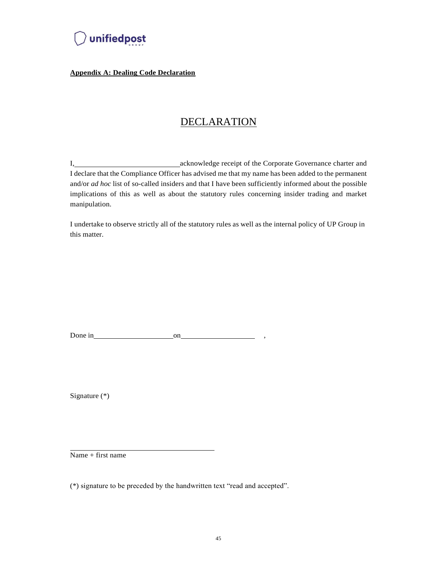

**Appendix A: Dealing Code Declaration**

### DECLARATION

I, acknowledge receipt of the Corporate Governance charter and I declare that the Compliance Officer has advised me that my name has been added to the permanent and/or *ad hoc* list of so-called insiders and that I have been sufficiently informed about the possible implications of this as well as about the statutory rules concerning insider trading and market manipulation.

I undertake to observe strictly all of the statutory rules as well as the internal policy of UP Group in this matter.

Done in  $_{\qquad}$  on  $_{\qquad}$  ,

Signature (\*)

Name + first name

(\*) signature to be preceded by the handwritten text "read and accepted".